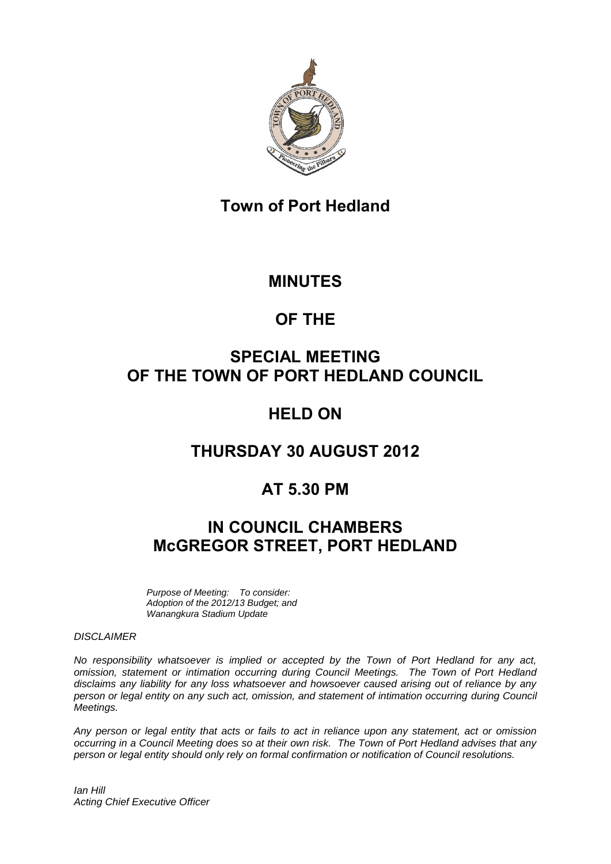

# **Town of Port Hedland**

## **MINUTES**

# **OF THE**

# **SPECIAL MEETING OF THE TOWN OF PORT HEDLAND COUNCIL**

# **HELD ON**

## **THURSDAY 30 AUGUST 2012**

# **AT 5.30 PM**

# **IN COUNCIL CHAMBERS McGREGOR STREET, PORT HEDLAND**

*Purpose of Meeting: To consider: Adoption of the 2012/13 Budget; and Wanangkura Stadium Update*

#### *DISCLAIMER*

*No responsibility whatsoever is implied or accepted by the Town of Port Hedland for any act, omission, statement or intimation occurring during Council Meetings. The Town of Port Hedland disclaims any liability for any loss whatsoever and howsoever caused arising out of reliance by any person or legal entity on any such act, omission, and statement of intimation occurring during Council Meetings.*

*Any person or legal entity that acts or fails to act in reliance upon any statement, act or omission occurring in a Council Meeting does so at their own risk. The Town of Port Hedland advises that any person or legal entity should only rely on formal confirmation or notification of Council resolutions.*

*Ian Hill Acting Chief Executive Officer*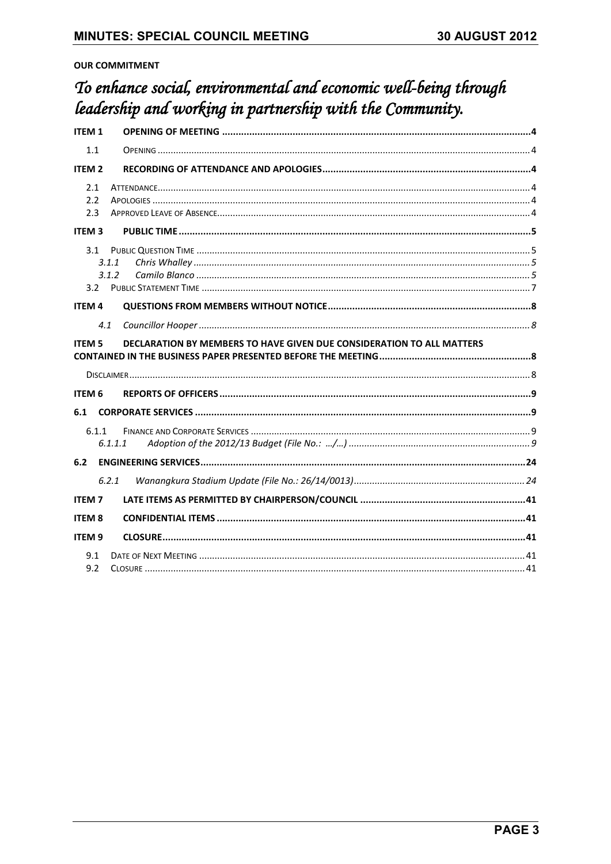### **OUR COMMITMENT**

# To enhance social, environmental and economic well-being through leadership and working in partnership with the Community.

| ITEM <sub>1</sub> |                                                                       |  |
|-------------------|-----------------------------------------------------------------------|--|
| 1.1               |                                                                       |  |
| <b>ITEM 2</b>     |                                                                       |  |
| 2.1<br>2.2<br>2.3 |                                                                       |  |
| <b>ITEM 3</b>     |                                                                       |  |
| 3.1<br>3.2        | 3.1.1<br>3.1.2                                                        |  |
| <b>ITEM 4</b>     |                                                                       |  |
| 4.1               |                                                                       |  |
| <b>ITEM 5</b>     | DECLARATION BY MEMBERS TO HAVE GIVEN DUE CONSIDERATION TO ALL MATTERS |  |
|                   |                                                                       |  |
| <b>ITEM 6</b>     |                                                                       |  |
| 6.1               |                                                                       |  |
| 6.1.1             | 6.1.1.1                                                               |  |
| 6.2               |                                                                       |  |
|                   | 6.2.1                                                                 |  |
| <b>ITEM7</b>      |                                                                       |  |
| <b>ITEM 8</b>     |                                                                       |  |
| <b>ITEM9</b>      |                                                                       |  |
| 9.1<br>9.2        |                                                                       |  |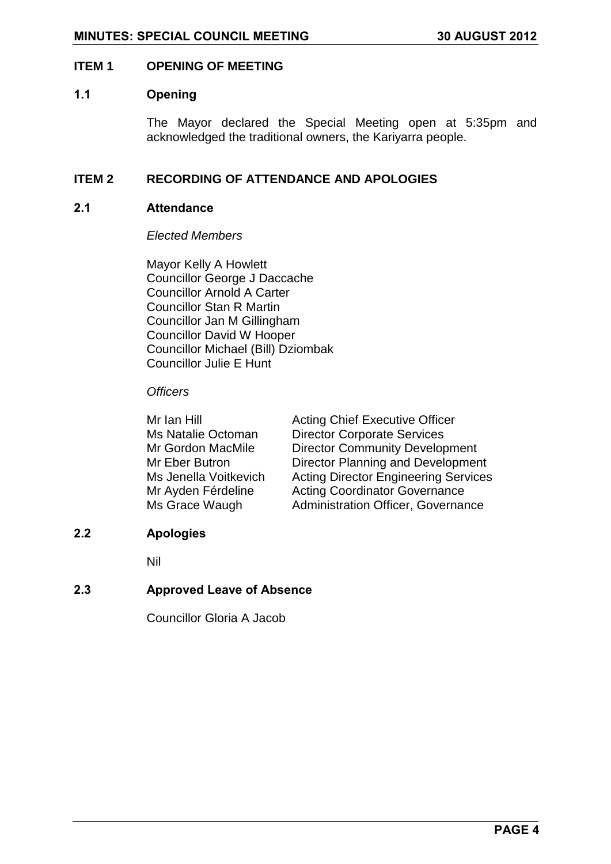#### <span id="page-3-0"></span>**ITEM 1 OPENING OF MEETING**

#### <span id="page-3-1"></span>**1.1 Opening**

The Mayor declared the Special Meeting open at 5:35pm and acknowledged the traditional owners, the Kariyarra people.

### <span id="page-3-2"></span>**ITEM 2 RECORDING OF ATTENDANCE AND APOLOGIES**

#### <span id="page-3-3"></span>**2.1 Attendance**

*Elected Members*

Mayor Kelly A Howlett Councillor George J Daccache Councillor Arnold A Carter Councillor Stan R Martin Councillor Jan M Gillingham Councillor David W Hooper Councillor Michael (Bill) Dziombak Councillor Julie E Hunt

#### *Officers*

| Mr Ian Hill           | <b>Acting Chief Executive Officer</b>       |
|-----------------------|---------------------------------------------|
| Ms Natalie Octoman    | <b>Director Corporate Services</b>          |
| Mr Gordon MacMile     | <b>Director Community Development</b>       |
| Mr Eber Butron        | <b>Director Planning and Development</b>    |
| Ms Jenella Voitkevich | <b>Acting Director Engineering Services</b> |
| Mr Ayden Férdeline    | <b>Acting Coordinator Governance</b>        |
| Ms Grace Waugh        | <b>Administration Officer, Governance</b>   |

### <span id="page-3-4"></span>**2.2 Apologies**

Nil

### <span id="page-3-6"></span><span id="page-3-5"></span>**2.3 Approved Leave of Absence**

Councillor Gloria A Jacob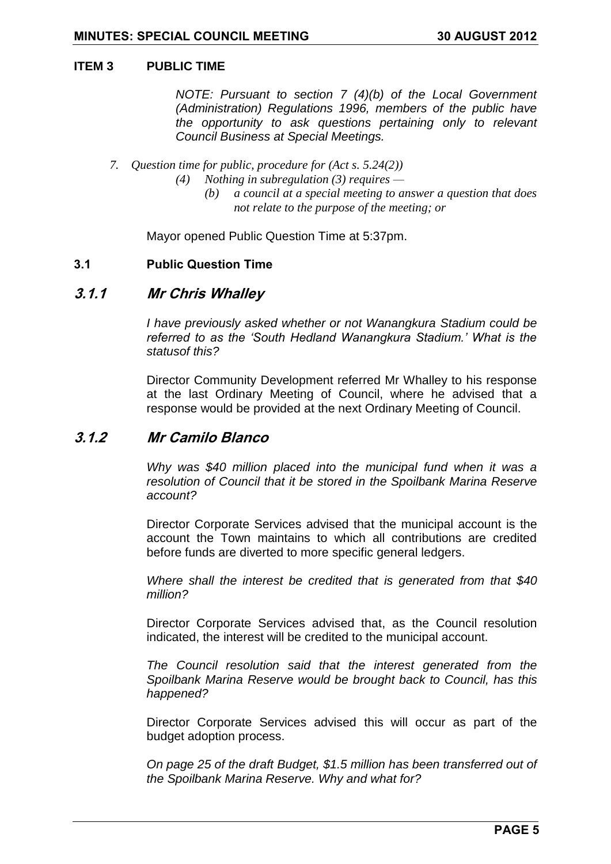#### **ITEM 3 PUBLIC TIME**

*NOTE: Pursuant to section 7 (4)(b) of the Local Government (Administration) Regulations 1996, members of the public have the opportunity to ask questions pertaining only to relevant Council Business at Special Meetings.*

- *7. Question time for public, procedure for (Act s. 5.24(2))*
	- *(4) Nothing in subregulation (3) requires —*
		- *(b) a council at a special meeting to answer a question that does not relate to the purpose of the meeting; or*

Mayor opened Public Question Time at 5:37pm.

#### <span id="page-4-0"></span>**3.1 Public Question Time**

### <span id="page-4-1"></span>**3.1.1 Mr Chris Whalley**

*I have previously asked whether or not Wanangkura Stadium could be referred to as the "South Hedland Wanangkura Stadium." What is the statusof this?*

Director Community Development referred Mr Whalley to his response at the last Ordinary Meeting of Council, where he advised that a response would be provided at the next Ordinary Meeting of Council.

### <span id="page-4-2"></span>**3.1.2 Mr Camilo Blanco**

*Why was \$40 million placed into the municipal fund when it was a resolution of Council that it be stored in the Spoilbank Marina Reserve account?*

Director Corporate Services advised that the municipal account is the account the Town maintains to which all contributions are credited before funds are diverted to more specific general ledgers.

*Where shall the interest be credited that is generated from that \$40 million?*

Director Corporate Services advised that, as the Council resolution indicated, the interest will be credited to the municipal account.

*The Council resolution said that the interest generated from the Spoilbank Marina Reserve would be brought back to Council, has this happened?*

Director Corporate Services advised this will occur as part of the budget adoption process.

*On page 25 of the draft Budget, \$1.5 million has been transferred out of the Spoilbank Marina Reserve. Why and what for?*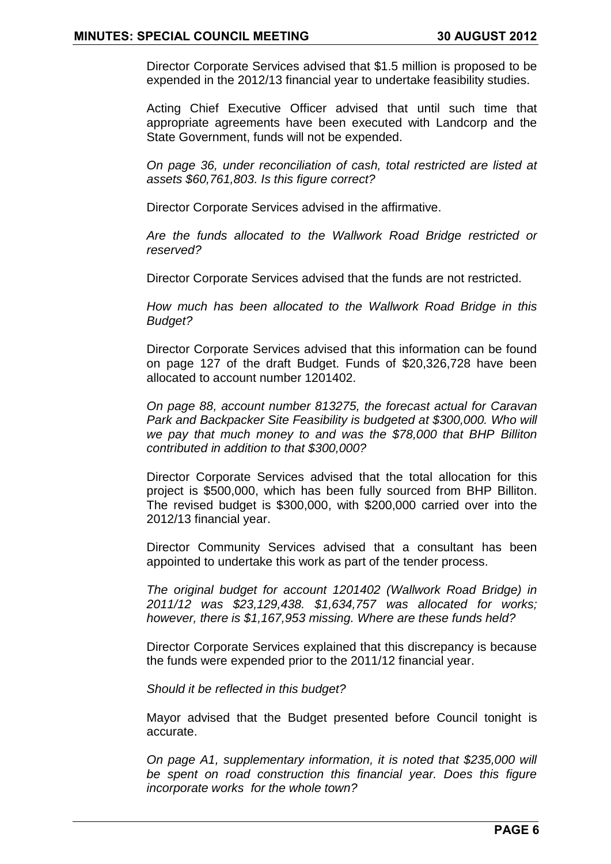Director Corporate Services advised that \$1.5 million is proposed to be expended in the 2012/13 financial year to undertake feasibility studies.

Acting Chief Executive Officer advised that until such time that appropriate agreements have been executed with Landcorp and the State Government, funds will not be expended.

*On page 36, under reconciliation of cash, total restricted are listed at assets \$60,761,803. Is this figure correct?*

Director Corporate Services advised in the affirmative.

*Are the funds allocated to the Wallwork Road Bridge restricted or reserved?*

Director Corporate Services advised that the funds are not restricted.

*How much has been allocated to the Wallwork Road Bridge in this Budget?*

Director Corporate Services advised that this information can be found on page 127 of the draft Budget. Funds of \$20,326,728 have been allocated to account number 1201402.

*On page 88, account number 813275, the forecast actual for Caravan Park and Backpacker Site Feasibility is budgeted at \$300,000. Who will we pay that much money to and was the \$78,000 that BHP Billiton contributed in addition to that \$300,000?*

Director Corporate Services advised that the total allocation for this project is \$500,000, which has been fully sourced from BHP Billiton. The revised budget is \$300,000, with \$200,000 carried over into the 2012/13 financial year.

Director Community Services advised that a consultant has been appointed to undertake this work as part of the tender process.

*The original budget for account 1201402 (Wallwork Road Bridge) in 2011/12 was \$23,129,438. \$1,634,757 was allocated for works; however, there is \$1,167,953 missing. Where are these funds held?*

Director Corporate Services explained that this discrepancy is because the funds were expended prior to the 2011/12 financial year.

*Should it be reflected in this budget?*

Mayor advised that the Budget presented before Council tonight is accurate.

*On page A1, supplementary information, it is noted that \$235,000 will be spent on road construction this financial year. Does this figure incorporate works for the whole town?*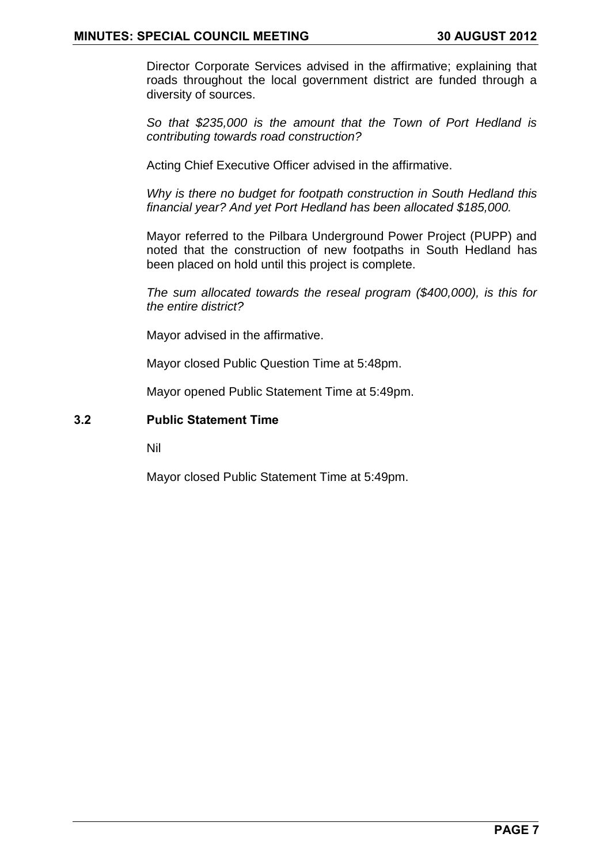Director Corporate Services advised in the affirmative; explaining that roads throughout the local government district are funded through a diversity of sources.

*So that \$235,000 is the amount that the Town of Port Hedland is contributing towards road construction?*

Acting Chief Executive Officer advised in the affirmative.

*Why is there no budget for footpath construction in South Hedland this financial year? And yet Port Hedland has been allocated \$185,000.* 

Mayor referred to the Pilbara Underground Power Project (PUPP) and noted that the construction of new footpaths in South Hedland has been placed on hold until this project is complete.

*The sum allocated towards the reseal program (\$400,000), is this for the entire district?*

Mayor advised in the affirmative.

Mayor closed Public Question Time at 5:48pm.

Mayor opened Public Statement Time at 5:49pm.

### <span id="page-6-0"></span>**3.2 Public Statement Time**

Nil

Mayor closed Public Statement Time at 5:49pm.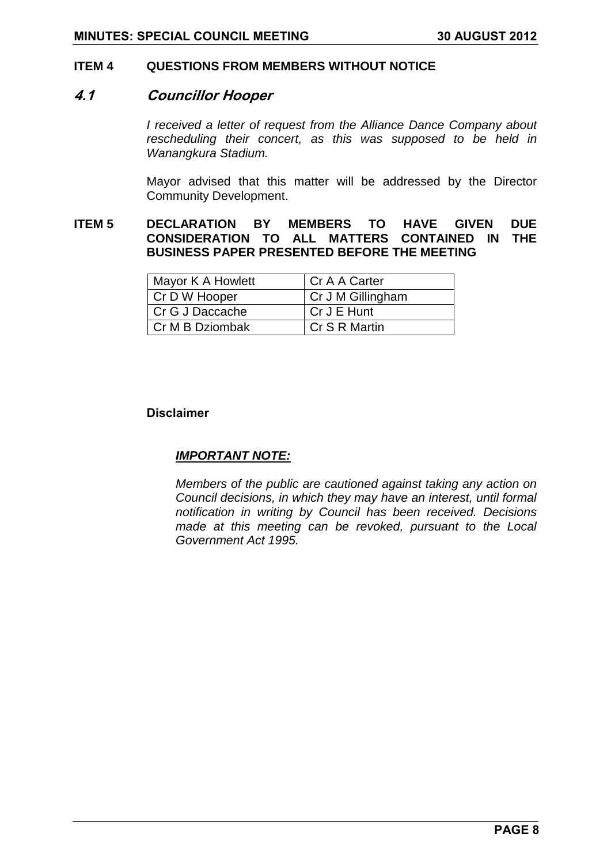#### <span id="page-7-0"></span>**ITEM 4 QUESTIONS FROM MEMBERS WITHOUT NOTICE**

#### <span id="page-7-1"></span>**4.1 Councillor Hooper**

*I received a letter of request from the Alliance Dance Company about rescheduling their concert, as this was supposed to be held in Wanangkura Stadium.*

Mayor advised that this matter will be addressed by the Director Community Development.

### <span id="page-7-2"></span>**ITEM 5 DECLARATION BY MEMBERS TO HAVE GIVEN DUE CONSIDERATION TO ALL MATTERS CONTAINED IN THE BUSINESS PAPER PRESENTED BEFORE THE MEETING**

| Mayor K A Howlett | Cr A A Carter     |
|-------------------|-------------------|
| Cr D W Hooper     | Cr J M Gillingham |
| l Cr G J Daccache | Cr J E Hunt       |
| Cr M B Dziombak   | Cr S R Martin     |

#### <span id="page-7-3"></span>**Disclaimer**

#### *IMPORTANT NOTE:*

*Members of the public are cautioned against taking any action on Council decisions, in which they may have an interest, until formal notification in writing by Council has been received. Decisions made at this meeting can be revoked, pursuant to the Local Government Act 1995.*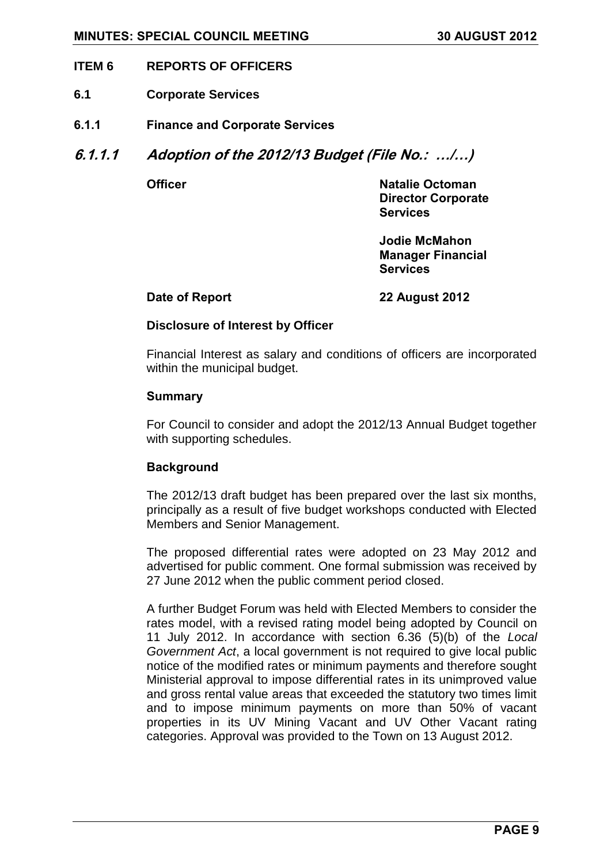#### <span id="page-8-0"></span>**ITEM 6 REPORTS OF OFFICERS**

- <span id="page-8-1"></span>**6.1 Corporate Services**
- <span id="page-8-2"></span>**6.1.1 Finance and Corporate Services**
- <span id="page-8-3"></span>**6.1.1.1 Adoption of the 2012/13 Budget (File No.: …/…)**

**Officer Natalie Octoman Director Corporate Services**

> **Jodie McMahon Manager Financial Services**

**Date of Report 22 August 2012**

#### **Disclosure of Interest by Officer**

Financial Interest as salary and conditions of officers are incorporated within the municipal budget.

#### **Summary**

For Council to consider and adopt the 2012/13 Annual Budget together with supporting schedules.

#### **Background**

The 2012/13 draft budget has been prepared over the last six months, principally as a result of five budget workshops conducted with Elected Members and Senior Management.

The proposed differential rates were adopted on 23 May 2012 and advertised for public comment. One formal submission was received by 27 June 2012 when the public comment period closed.

A further Budget Forum was held with Elected Members to consider the rates model, with a revised rating model being adopted by Council on 11 July 2012. In accordance with section 6.36 (5)(b) of the *Local Government Act*, a local government is not required to give local public notice of the modified rates or minimum payments and therefore sought Ministerial approval to impose differential rates in its unimproved value and gross rental value areas that exceeded the statutory two times limit and to impose minimum payments on more than 50% of vacant properties in its UV Mining Vacant and UV Other Vacant rating categories. Approval was provided to the Town on 13 August 2012.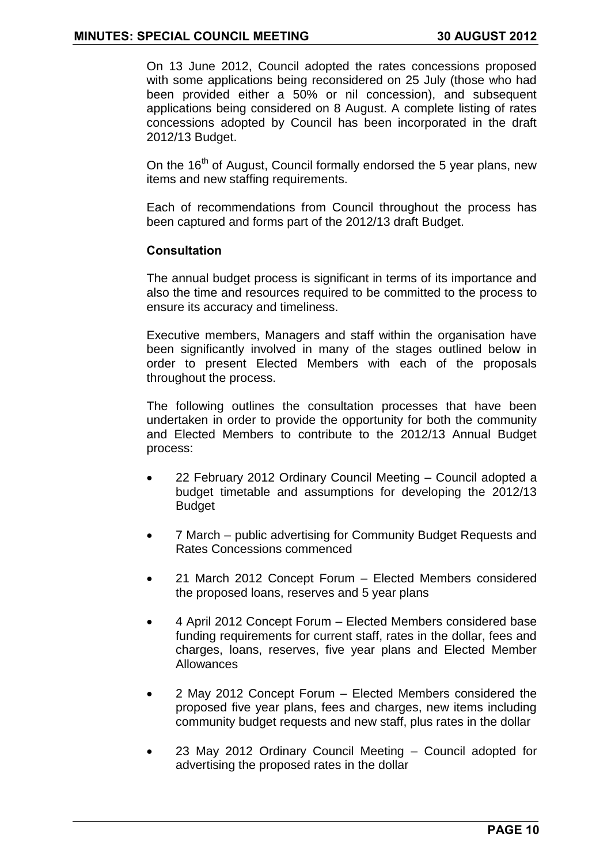On 13 June 2012, Council adopted the rates concessions proposed with some applications being reconsidered on 25 July (those who had been provided either a 50% or nil concession), and subsequent applications being considered on 8 August. A complete listing of rates concessions adopted by Council has been incorporated in the draft 2012/13 Budget.

On the 16<sup>th</sup> of August, Council formally endorsed the 5 year plans, new items and new staffing requirements.

Each of recommendations from Council throughout the process has been captured and forms part of the 2012/13 draft Budget.

### **Consultation**

The annual budget process is significant in terms of its importance and also the time and resources required to be committed to the process to ensure its accuracy and timeliness.

Executive members, Managers and staff within the organisation have been significantly involved in many of the stages outlined below in order to present Elected Members with each of the proposals throughout the process.

The following outlines the consultation processes that have been undertaken in order to provide the opportunity for both the community and Elected Members to contribute to the 2012/13 Annual Budget process:

- 22 February 2012 Ordinary Council Meeting Council adopted a budget timetable and assumptions for developing the 2012/13 Budget
- 7 March public advertising for Community Budget Requests and Rates Concessions commenced
- 21 March 2012 Concept Forum Elected Members considered the proposed loans, reserves and 5 year plans
- 4 April 2012 Concept Forum Elected Members considered base funding requirements for current staff, rates in the dollar, fees and charges, loans, reserves, five year plans and Elected Member Allowances
- 2 May 2012 Concept Forum Elected Members considered the proposed five year plans, fees and charges, new items including community budget requests and new staff, plus rates in the dollar
- 23 May 2012 Ordinary Council Meeting Council adopted for advertising the proposed rates in the dollar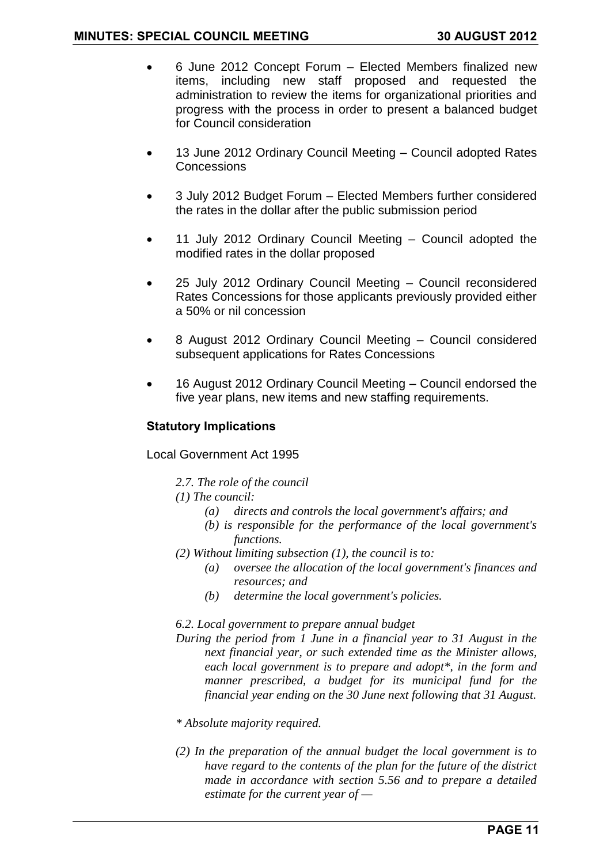- 6 June 2012 Concept Forum Elected Members finalized new items, including new staff proposed and requested the administration to review the items for organizational priorities and progress with the process in order to present a balanced budget for Council consideration
- 13 June 2012 Ordinary Council Meeting Council adopted Rates Concessions
- 3 July 2012 Budget Forum Elected Members further considered the rates in the dollar after the public submission period
- 11 July 2012 Ordinary Council Meeting Council adopted the modified rates in the dollar proposed
- 25 July 2012 Ordinary Council Meeting Council reconsidered Rates Concessions for those applicants previously provided either a 50% or nil concession
- 8 August 2012 Ordinary Council Meeting Council considered subsequent applications for Rates Concessions
- 16 August 2012 Ordinary Council Meeting Council endorsed the five year plans, new items and new staffing requirements.

### **Statutory Implications**

Local Government Act 1995

*2.7. The role of the council* 

*(1) The council:*

- *(a) directs and controls the local government's affairs; and*
- *(b) is responsible for the performance of the local government's functions.*
- *(2) Without limiting subsection (1), the council is to:*
	- *(a) oversee the allocation of the local government's finances and resources; and*
	- *(b) determine the local government's policies.*

#### *6.2. Local government to prepare annual budget*

- *During the period from 1 June in a financial year to 31 August in the next financial year, or such extended time as the Minister allows, each local government is to prepare and adopt\*, in the form and manner prescribed, a budget for its municipal fund for the financial year ending on the 30 June next following that 31 August.*
- *\* Absolute majority required.*
- *(2) In the preparation of the annual budget the local government is to have regard to the contents of the plan for the future of the district made in accordance with section 5.56 and to prepare a detailed estimate for the current year of —*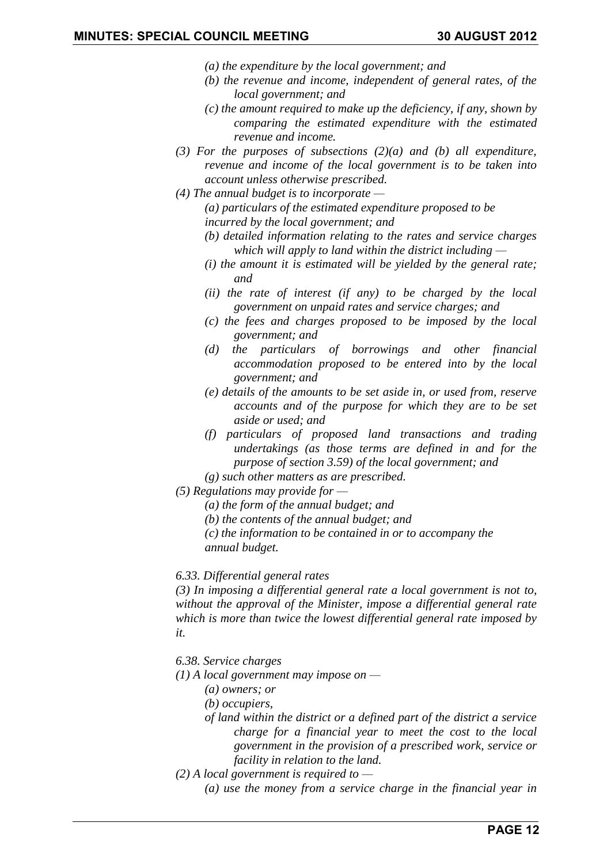- *(a) the expenditure by the local government; and*
- *(b) the revenue and income, independent of general rates, of the local government; and*
- *(c) the amount required to make up the deficiency, if any, shown by comparing the estimated expenditure with the estimated revenue and income.*
- *(3) For the purposes of subsections (2)(a) and (b) all expenditure, revenue and income of the local government is to be taken into account unless otherwise prescribed.*
- *(4) The annual budget is to incorporate — (a) particulars of the estimated expenditure proposed to be incurred by the local government; and*
	- *(b) detailed information relating to the rates and service charges which will apply to land within the district including —*
	- *(i) the amount it is estimated will be yielded by the general rate; and*
	- *(ii) the rate of interest (if any) to be charged by the local government on unpaid rates and service charges; and*
	- *(c) the fees and charges proposed to be imposed by the local government; and*
	- *(d) the particulars of borrowings and other financial accommodation proposed to be entered into by the local government; and*
	- *(e) details of the amounts to be set aside in, or used from, reserve accounts and of the purpose for which they are to be set aside or used; and*
	- *(f) particulars of proposed land transactions and trading undertakings (as those terms are defined in and for the purpose of section 3.59) of the local government; and*
	- *(g) such other matters as are prescribed.*
- *(5) Regulations may provide for —*
	- *(a) the form of the annual budget; and*
	- *(b) the contents of the annual budget; and*

*(c) the information to be contained in or to accompany the annual budget.*

*6.33. Differential general rates*

*(3) In imposing a differential general rate a local government is not to, without the approval of the Minister, impose a differential general rate which is more than twice the lowest differential general rate imposed by it.*

- *6.38. Service charges*
- *(1) A local government may impose on —*
	- *(a) owners; or*
	- *(b) occupiers,*
	- *of land within the district or a defined part of the district a service charge for a financial year to meet the cost to the local government in the provision of a prescribed work, service or facility in relation to the land.*
- *(2) A local government is required to —*
	- *(a) use the money from a service charge in the financial year in*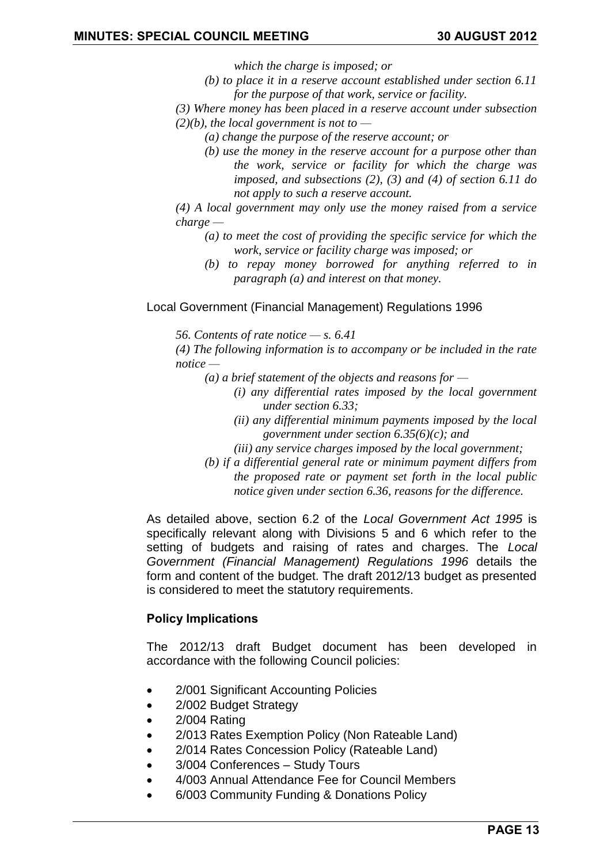*which the charge is imposed; or*

- *(b) to place it in a reserve account established under section 6.11 for the purpose of that work, service or facility.*
- *(3) Where money has been placed in a reserve account under subsection*
- *(2)(b), the local government is not to —*
	- *(a) change the purpose of the reserve account; or*
	- *(b) use the money in the reserve account for a purpose other than the work, service or facility for which the charge was imposed, and subsections (2), (3) and (4) of section 6.11 do not apply to such a reserve account.*
- *(4) A local government may only use the money raised from a service charge —*
	- *(a) to meet the cost of providing the specific service for which the work, service or facility charge was imposed; or*
	- *(b) to repay money borrowed for anything referred to in paragraph (a) and interest on that money.*

#### Local Government (Financial Management) Regulations 1996

*56. Contents of rate notice — s. 6.41*

*(4) The following information is to accompany or be included in the rate notice —*

- *(a) a brief statement of the objects and reasons for —*
	- *(i) any differential rates imposed by the local government under section 6.33;*
	- *(ii) any differential minimum payments imposed by the local government under section 6.35(6)(c); and*
	- *(iii) any service charges imposed by the local government;*
- *(b) if a differential general rate or minimum payment differs from the proposed rate or payment set forth in the local public notice given under section 6.36, reasons for the difference.*

As detailed above, section 6.2 of the *Local Government Act 1995* is specifically relevant along with Divisions 5 and 6 which refer to the setting of budgets and raising of rates and charges. The *Local Government (Financial Management) Regulations 1996* details the form and content of the budget. The draft 2012/13 budget as presented is considered to meet the statutory requirements.

#### **Policy Implications**

The 2012/13 draft Budget document has been developed in accordance with the following Council policies:

- 2/001 Significant Accounting Policies
- 2/002 Budget Strategy
- 2/004 Rating
- 2/013 Rates Exemption Policy (Non Rateable Land)
- 2/014 Rates Concession Policy (Rateable Land)
- 3/004 Conferences Study Tours
- 4/003 Annual Attendance Fee for Council Members
- 6/003 Community Funding & Donations Policy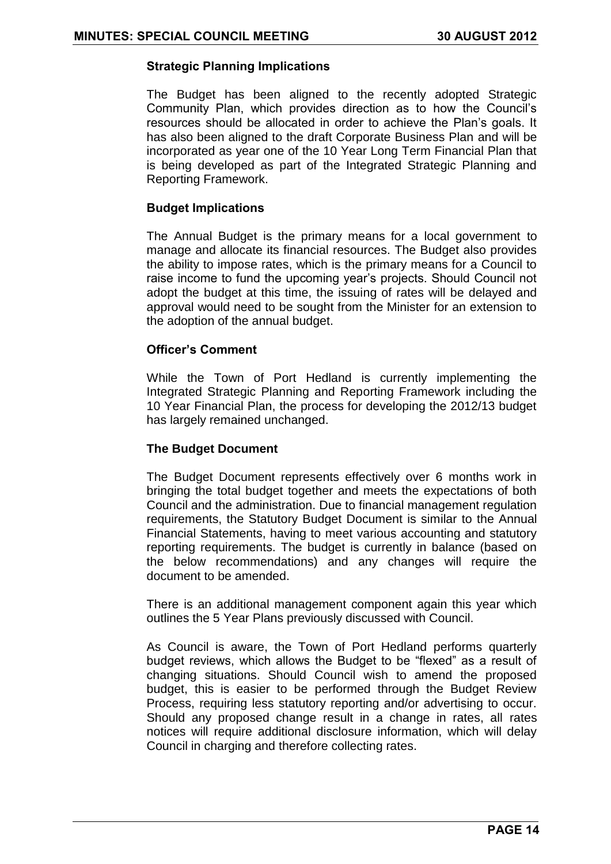#### **Strategic Planning Implications**

The Budget has been aligned to the recently adopted Strategic Community Plan, which provides direction as to how the Council's resources should be allocated in order to achieve the Plan's goals. It has also been aligned to the draft Corporate Business Plan and will be incorporated as year one of the 10 Year Long Term Financial Plan that is being developed as part of the Integrated Strategic Planning and Reporting Framework.

#### **Budget Implications**

The Annual Budget is the primary means for a local government to manage and allocate its financial resources. The Budget also provides the ability to impose rates, which is the primary means for a Council to raise income to fund the upcoming year's projects. Should Council not adopt the budget at this time, the issuing of rates will be delayed and approval would need to be sought from the Minister for an extension to the adoption of the annual budget.

#### **Officer"s Comment**

While the Town of Port Hedland is currently implementing the Integrated Strategic Planning and Reporting Framework including the 10 Year Financial Plan, the process for developing the 2012/13 budget has largely remained unchanged.

#### **The Budget Document**

The Budget Document represents effectively over 6 months work in bringing the total budget together and meets the expectations of both Council and the administration. Due to financial management regulation requirements, the Statutory Budget Document is similar to the Annual Financial Statements, having to meet various accounting and statutory reporting requirements. The budget is currently in balance (based on the below recommendations) and any changes will require the document to be amended.

There is an additional management component again this year which outlines the 5 Year Plans previously discussed with Council.

As Council is aware, the Town of Port Hedland performs quarterly budget reviews, which allows the Budget to be "flexed" as a result of changing situations. Should Council wish to amend the proposed budget, this is easier to be performed through the Budget Review Process, requiring less statutory reporting and/or advertising to occur. Should any proposed change result in a change in rates, all rates notices will require additional disclosure information, which will delay Council in charging and therefore collecting rates.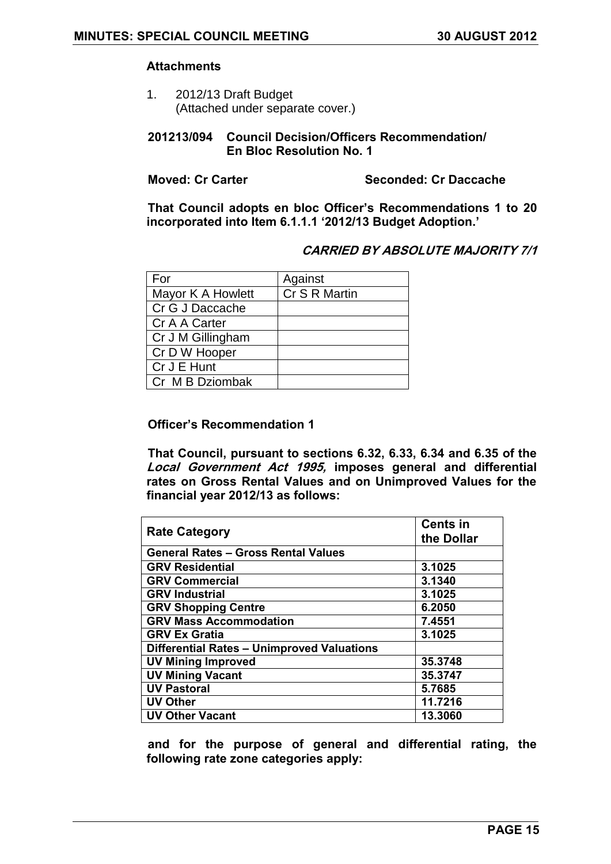#### **Attachments**

1. 2012/13 Draft Budget (Attached under separate cover.)

#### **201213/094 Council Decision/Officers Recommendation/ En Bloc Resolution No. 1**

**Moved: Cr Carter Seconded: Cr Daccache**

**That Council adopts en bloc Officer"s Recommendations 1 to 20 incorporated into Item 6.1.1.1 "2012/13 Budget Adoption."**

### **CARRIED BY ABSOLUTE MAJORITY 7/1**

| For               | Against       |
|-------------------|---------------|
| Mayor K A Howlett | Cr S R Martin |
| Cr G J Daccache   |               |
| Cr A A Carter     |               |
| Cr J M Gillingham |               |
| Cr D W Hooper     |               |
| Cr J E Hunt       |               |
| Cr M B Dziombak   |               |

### **Officer"s Recommendation 1**

**That Council, pursuant to sections 6.32, 6.33, 6.34 and 6.35 of the Local Government Act 1995, imposes general and differential rates on Gross Rental Values and on Unimproved Values for the financial year 2012/13 as follows:**

| <b>Rate Category</b>                              | <b>Cents in</b><br>the Dollar |
|---------------------------------------------------|-------------------------------|
| <b>General Rates - Gross Rental Values</b>        |                               |
| <b>GRV Residential</b>                            | 3.1025                        |
| <b>GRV Commercial</b>                             | 3.1340                        |
| <b>GRV Industrial</b>                             | 3.1025                        |
| <b>GRV Shopping Centre</b>                        | 6.2050                        |
| <b>GRV Mass Accommodation</b>                     | 7.4551                        |
| <b>GRV Ex Gratia</b>                              | 3.1025                        |
| <b>Differential Rates - Unimproved Valuations</b> |                               |
| <b>UV Mining Improved</b>                         | 35.3748                       |
| <b>UV Mining Vacant</b>                           | 35.3747                       |
| <b>UV Pastoral</b>                                | 5.7685                        |
| <b>UV Other</b>                                   | 11.7216                       |
| <b>UV Other Vacant</b>                            | 13.3060                       |

**and for the purpose of general and differential rating, the following rate zone categories apply:**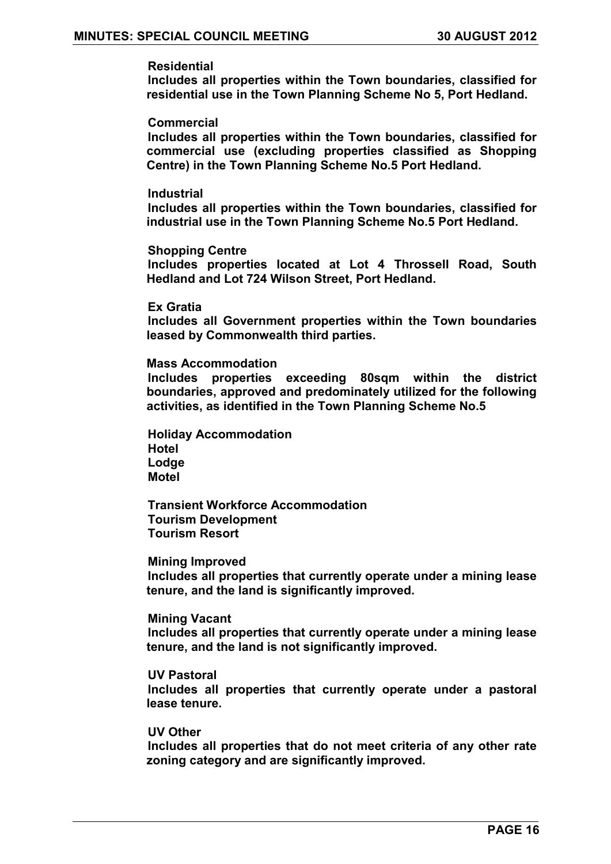#### **Residential**

**Includes all properties within the Town boundaries, classified for residential use in the Town Planning Scheme No 5, Port Hedland.** 

#### **Commercial**

**Includes all properties within the Town boundaries, classified for commercial use (excluding properties classified as Shopping Centre) in the Town Planning Scheme No.5 Port Hedland.** 

#### **Industrial**

**Includes all properties within the Town boundaries, classified for industrial use in the Town Planning Scheme No.5 Port Hedland.**

#### **Shopping Centre**

**Includes properties located at Lot 4 Throssell Road, South Hedland and Lot 724 Wilson Street, Port Hedland.** 

**Ex Gratia**

**Includes all Government properties within the Town boundaries leased by Commonwealth third parties.** 

#### **Mass Accommodation**

**Includes properties exceeding 80sqm within the district boundaries, approved and predominately utilized for the following activities, as identified in the Town Planning Scheme No.5**

**Holiday Accommodation Hotel Lodge Motel**

**Transient Workforce Accommodation Tourism Development Tourism Resort**

#### **Mining Improved**

**Includes all properties that currently operate under a mining lease tenure, and the land is significantly improved.** 

#### **Mining Vacant**

**Includes all properties that currently operate under a mining lease tenure, and the land is not significantly improved.** 

#### **UV Pastoral**

**Includes all properties that currently operate under a pastoral lease tenure.** 

#### **UV Other**

**Includes all properties that do not meet criteria of any other rate zoning category and are significantly improved.**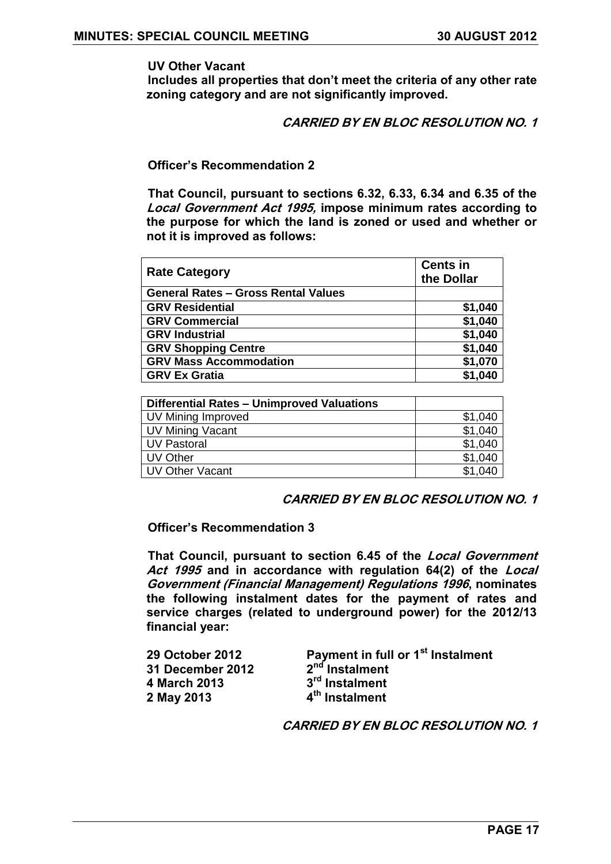**UV Other Vacant** 

**Includes all properties that don"t meet the criteria of any other rate zoning category and are not significantly improved.** 

**CARRIED BY EN BLOC RESOLUTION NO. 1**

**Officer"s Recommendation 2** 

**That Council, pursuant to sections 6.32, 6.33, 6.34 and 6.35 of the Local Government Act 1995, impose minimum rates according to the purpose for which the land is zoned or used and whether or not it is improved as follows:**

| <b>Rate Category</b>                       | <b>Cents in</b><br>the Dollar |
|--------------------------------------------|-------------------------------|
| <b>General Rates - Gross Rental Values</b> |                               |
| <b>GRV Residential</b>                     | \$1,040                       |
| <b>GRV Commercial</b>                      | \$1,040                       |
| <b>GRV Industrial</b>                      | \$1,040                       |
| <b>GRV Shopping Centre</b>                 | \$1,040                       |
| <b>GRV Mass Accommodation</b>              | \$1,070                       |
| <b>GRV Ex Gratia</b>                       | \$1,040                       |

| Differential Rates - Unimproved Valuations |         |
|--------------------------------------------|---------|
| UV Mining Improved                         | \$1,040 |
| UV Mining Vacant                           | \$1,040 |
| UV Pastoral                                | \$1,040 |
| UV Other                                   | \$1,040 |
| UV Other Vacant                            | \$1,040 |

### **CARRIED BY EN BLOC RESOLUTION NO. 1**

#### **Officer"s Recommendation 3**

**That Council, pursuant to section 6.45 of the Local Government Act 1995 and in accordance with regulation 64(2) of the Local Government (Financial Management) Regulations 1996, nominates the following instalment dates for the payment of rates and service charges (related to underground power) for the 2012/13 financial year:**

| <b>29 October 2012</b>  | Payment in full or 1 <sup>st</sup> Instalment |
|-------------------------|-----------------------------------------------|
| <b>31 December 2012</b> | 2 <sup>nd</sup> Instalment                    |
| 4 March 2013            | 3 <sup>rd</sup> Instalment                    |
| 2 May 2013              | 4 <sup>th</sup> Instalment                    |
|                         |                                               |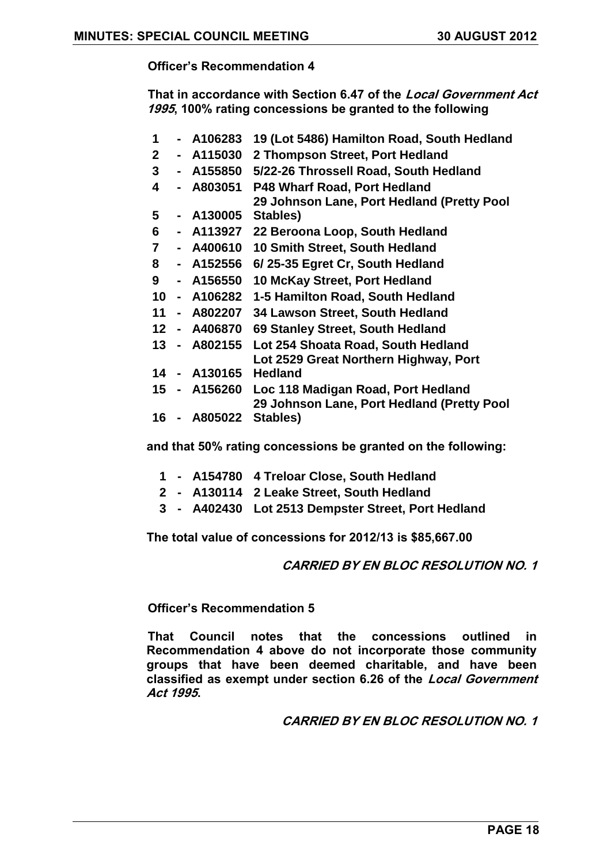**That in accordance with Section 6.47 of the Local Government Act 1995, 100% rating concessions be granted to the following**

 **- A106283 19 (Lot 5486) Hamilton Road, South Hedland - A115030 2 Thompson Street, Port Hedland - A155850 5/22-26 Throssell Road, South Hedland - A803051 P48 Wharf Road, Port Hedland - A130005 Stables) 29 Johnson Lane, Port Hedland (Pretty Pool - A113927 22 Beroona Loop, South Hedland - A400610 10 Smith Street, South Hedland - A152556 6/ 25-35 Egret Cr, South Hedland - A156550 10 McKay Street, Port Hedland - A106282 1-5 Hamilton Road, South Hedland - A802207 34 Lawson Street, South Hedland - A406870 69 Stanley Street, South Hedland - A802155 Lot 254 Shoata Road, South Hedland - A130165 Hedland Lot 2529 Great Northern Highway, Port - A156260 Loc 118 Madigan Road, Port Hedland - A805022 Stables) 29 Johnson Lane, Port Hedland (Pretty Pool** 

**and that 50% rating concessions be granted on the following:**

- **1 - A154780 4 Treloar Close, South Hedland**
- **2 - A130114 2 Leake Street, South Hedland**
- **3 - A402430 Lot 2513 Dempster Street, Port Hedland**

**The total value of concessions for 2012/13 is \$85,667.00**

### **CARRIED BY EN BLOC RESOLUTION NO. 1**

#### **Officer"s Recommendation 5**

**That Council notes that the concessions outlined in Recommendation 4 above do not incorporate those community groups that have been deemed charitable, and have been classified as exempt under section 6.26 of the Local Government Act 1995.**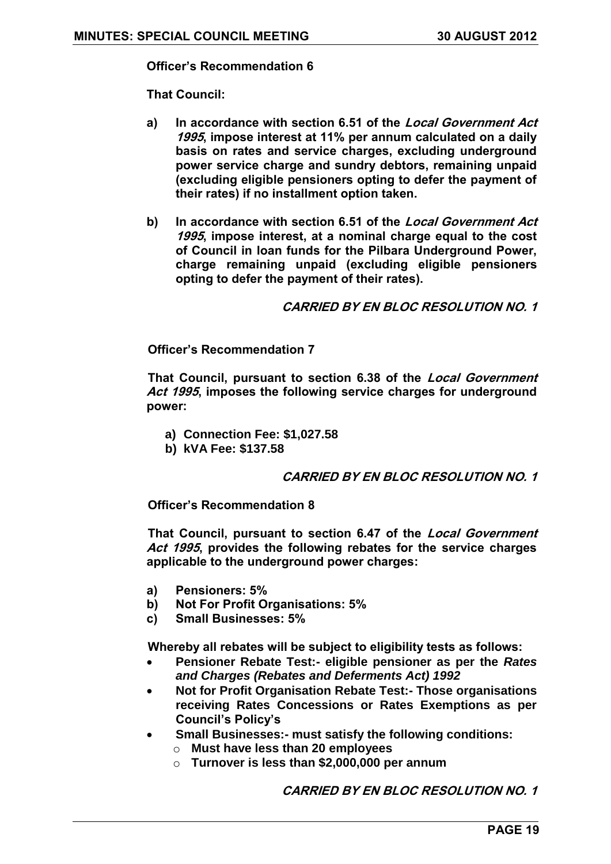**That Council:**

- **a) In accordance with section 6.51 of the Local Government Act 1995, impose interest at 11% per annum calculated on a daily basis on rates and service charges, excluding underground power service charge and sundry debtors, remaining unpaid (excluding eligible pensioners opting to defer the payment of their rates) if no installment option taken.**
- **b) In accordance with section 6.51 of the Local Government Act 1995, impose interest, at a nominal charge equal to the cost of Council in loan funds for the Pilbara Underground Power, charge remaining unpaid (excluding eligible pensioners opting to defer the payment of their rates).**

**CARRIED BY EN BLOC RESOLUTION NO. 1**

**Officer"s Recommendation 7**

**That Council, pursuant to section 6.38 of the Local Government Act 1995, imposes the following service charges for underground power:**

- **a) Connection Fee: \$1,027.58**
- **b) kVA Fee: \$137.58**

### **CARRIED BY EN BLOC RESOLUTION NO. 1**

**Officer"s Recommendation 8**

**That Council, pursuant to section 6.47 of the Local Government Act 1995, provides the following rebates for the service charges applicable to the underground power charges:**

- **a) Pensioners: 5%**
- **b) Not For Profit Organisations: 5%**
- **c) Small Businesses: 5%**

**Whereby all rebates will be subject to eligibility tests as follows:**

- **Pensioner Rebate Test:- eligible pensioner as per the** *Rates and Charges (Rebates and Deferments Act) 1992*
- **Not for Profit Organisation Rebate Test:- Those organisations receiving Rates Concessions or Rates Exemptions as per Council's Policy's**
- **Small Businesses:- must satisfy the following conditions:**
	- o **Must have less than 20 employees**
	- o **Turnover is less than \$2,000,000 per annum**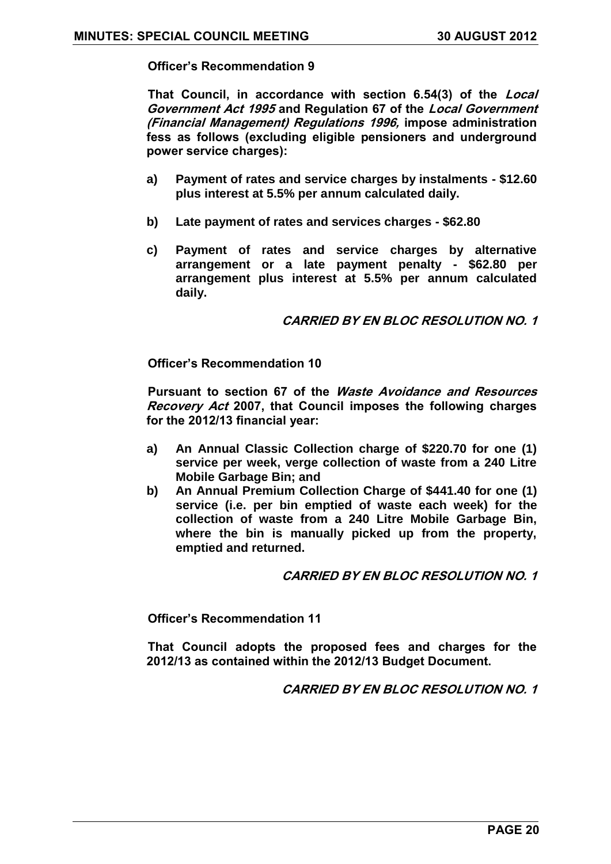**That Council, in accordance with section 6.54(3) of the Local Government Act 1995 and Regulation 67 of the Local Government (Financial Management) Regulations 1996, impose administration fess as follows (excluding eligible pensioners and underground power service charges):**

- **a) Payment of rates and service charges by instalments - \$12.60 plus interest at 5.5% per annum calculated daily.**
- **b) Late payment of rates and services charges - \$62.80**
- **c) Payment of rates and service charges by alternative arrangement or a late payment penalty - \$62.80 per arrangement plus interest at 5.5% per annum calculated daily.**

**CARRIED BY EN BLOC RESOLUTION NO. 1**

**Officer"s Recommendation 10**

**Pursuant to section 67 of the Waste Avoidance and Resources Recovery Act 2007, that Council imposes the following charges for the 2012/13 financial year:**

- **a) An Annual Classic Collection charge of \$220.70 for one (1) service per week, verge collection of waste from a 240 Litre Mobile Garbage Bin; and**
- **b) An Annual Premium Collection Charge of \$441.40 for one (1) service (i.e. per bin emptied of waste each week) for the collection of waste from a 240 Litre Mobile Garbage Bin, where the bin is manually picked up from the property, emptied and returned.**

### **CARRIED BY EN BLOC RESOLUTION NO. 1**

**Officer"s Recommendation 11**

**That Council adopts the proposed fees and charges for the 2012/13 as contained within the 2012/13 Budget Document.**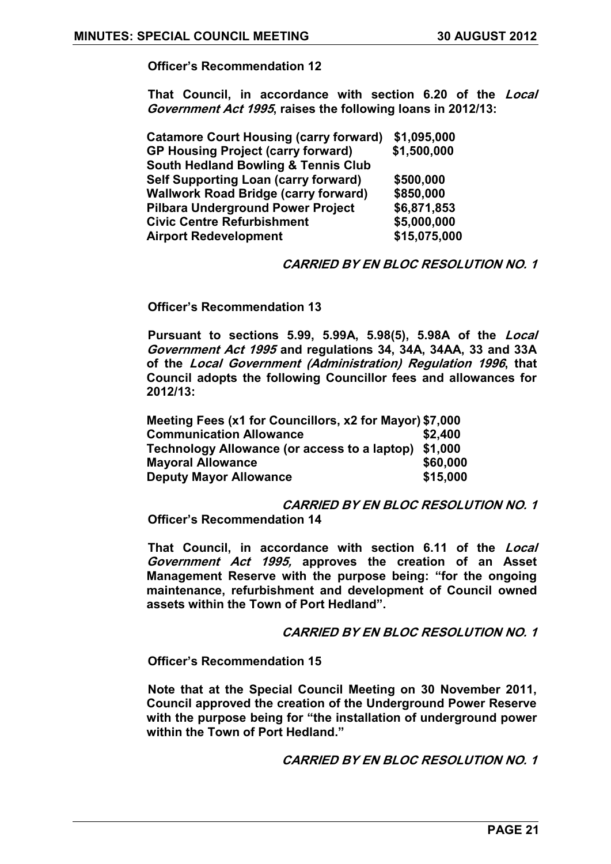**That Council, in accordance with section 6.20 of the Local Government Act 1995, raises the following loans in 2012/13:**

| <b>Catamore Court Housing (carry forward)</b>  | \$1,095,000  |
|------------------------------------------------|--------------|
| <b>GP Housing Project (carry forward)</b>      | \$1,500,000  |
| <b>South Hedland Bowling &amp; Tennis Club</b> |              |
| <b>Self Supporting Loan (carry forward)</b>    | \$500,000    |
| <b>Wallwork Road Bridge (carry forward)</b>    | \$850,000    |
| <b>Pilbara Underground Power Project</b>       | \$6,871,853  |
| <b>Civic Centre Refurbishment</b>              | \$5,000,000  |
| <b>Airport Redevelopment</b>                   | \$15,075,000 |

#### **CARRIED BY EN BLOC RESOLUTION NO. 1**

**Officer"s Recommendation 13**

**Pursuant to sections 5.99, 5.99A, 5.98(5), 5.98A of the Local Government Act 1995 and regulations 34, 34A, 34AA, 33 and 33A of the Local Government (Administration) Regulation 1996, that Council adopts the following Councillor fees and allowances for 2012/13:**

| Meeting Fees (x1 for Councillors, x2 for Mayor) \$7,000 |          |
|---------------------------------------------------------|----------|
| <b>Communication Allowance</b>                          | \$2.400  |
| Technology Allowance (or access to a laptop) \$1,000    |          |
| <b>Mayoral Allowance</b>                                | \$60,000 |
| <b>Deputy Mayor Allowance</b>                           | \$15,000 |

**CARRIED BY EN BLOC RESOLUTION NO. 1 Officer"s Recommendation 14**

**That Council, in accordance with section 6.11 of the Local Government Act 1995, approves the creation of an Asset Management Reserve with the purpose being: "for the ongoing maintenance, refurbishment and development of Council owned assets within the Town of Port Hedland".**

**CARRIED BY EN BLOC RESOLUTION NO. 1**

**Officer"s Recommendation 15**

**Note that at the Special Council Meeting on 30 November 2011, Council approved the creation of the Underground Power Reserve with the purpose being for "the installation of underground power within the Town of Port Hedland."**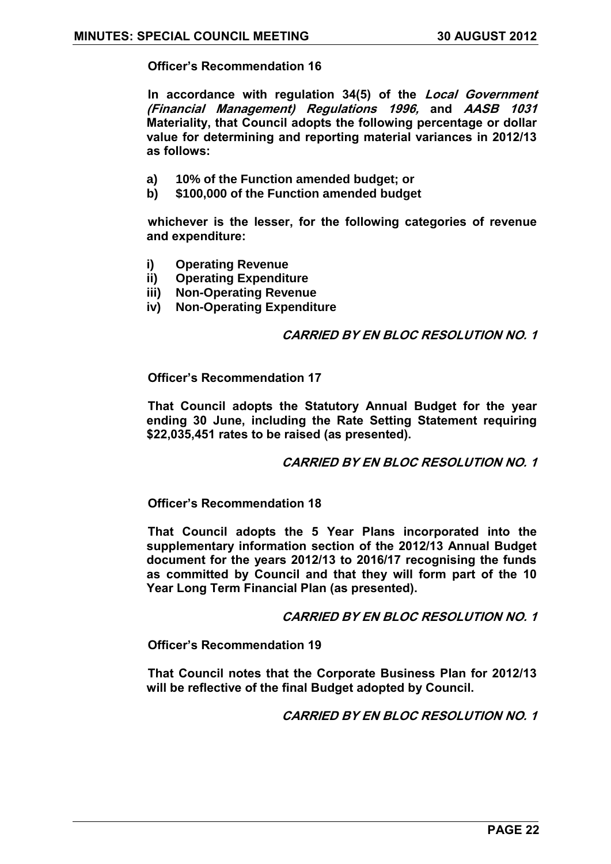**In accordance with regulation 34(5) of the Local Government (Financial Management) Regulations 1996, and AASB 1031 Materiality, that Council adopts the following percentage or dollar value for determining and reporting material variances in 2012/13 as follows:**

- **a) 10% of the Function amended budget; or**
- **b) \$100,000 of the Function amended budget**

**whichever is the lesser, for the following categories of revenue and expenditure:**

- **i) Operating Revenue**
- **ii) Operating Expenditure**
- **iii) Non-Operating Revenue**
- **iv) Non-Operating Expenditure**

#### **CARRIED BY EN BLOC RESOLUTION NO. 1**

**Officer"s Recommendation 17**

**That Council adopts the Statutory Annual Budget for the year ending 30 June, including the Rate Setting Statement requiring \$22,035,451 rates to be raised (as presented).**

**CARRIED BY EN BLOC RESOLUTION NO. 1**

**Officer"s Recommendation 18**

**That Council adopts the 5 Year Plans incorporated into the supplementary information section of the 2012/13 Annual Budget document for the years 2012/13 to 2016/17 recognising the funds as committed by Council and that they will form part of the 10 Year Long Term Financial Plan (as presented).**

**CARRIED BY EN BLOC RESOLUTION NO. 1**

**Officer"s Recommendation 19**

**That Council notes that the Corporate Business Plan for 2012/13 will be reflective of the final Budget adopted by Council.**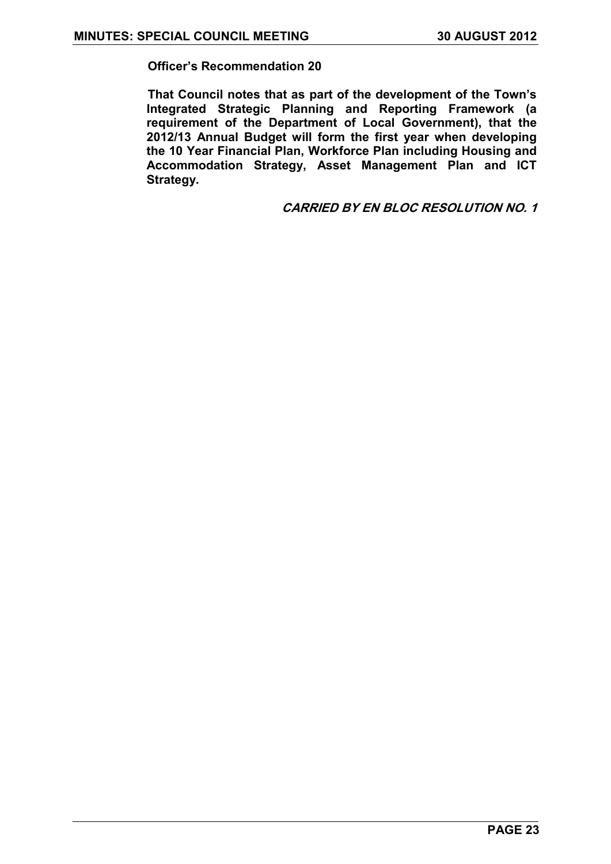**That Council notes that as part of the development of the Town"s Integrated Strategic Planning and Reporting Framework (a requirement of the Department of Local Government), that the 2012/13 Annual Budget will form the first year when developing the 10 Year Financial Plan, Workforce Plan including Housing and Accommodation Strategy, Asset Management Plan and ICT Strategy.**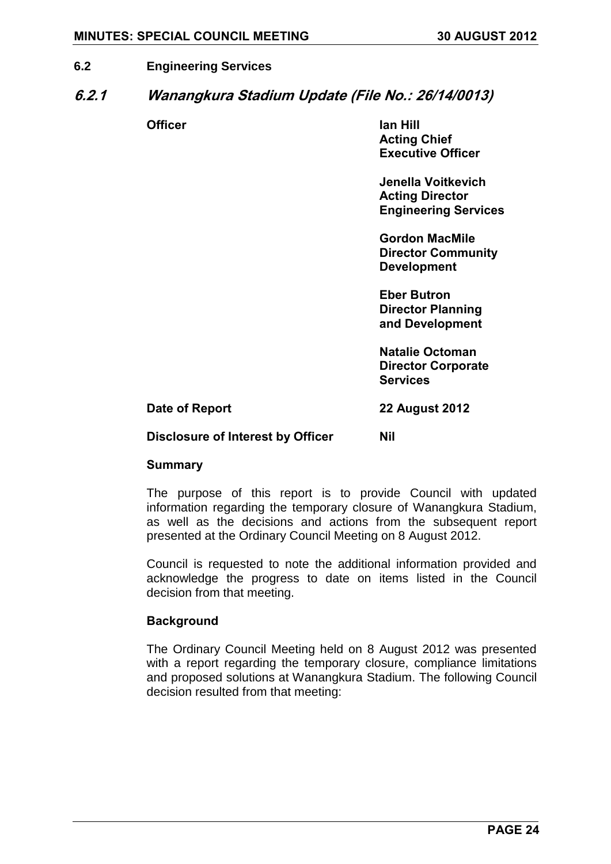### <span id="page-23-0"></span>**6.2 Engineering Services**

### <span id="page-23-1"></span>**6.2.1 Wanangkura Stadium Update (File No.: 26/14/0013)**

**Officer Ian Hill Acting Chief Executive Officer**

> **Jenella Voitkevich Acting Director Engineering Services**

**Gordon MacMile Director Community Development**

**Eber Butron Director Planning and Development**

**Natalie Octoman Director Corporate Services**

**Date of Report 22 August 2012**

#### **Disclosure of Interest by Officer Nil**

#### **Summary**

The purpose of this report is to provide Council with updated information regarding the temporary closure of Wanangkura Stadium, as well as the decisions and actions from the subsequent report presented at the Ordinary Council Meeting on 8 August 2012.

Council is requested to note the additional information provided and acknowledge the progress to date on items listed in the Council decision from that meeting.

#### **Background**

The Ordinary Council Meeting held on 8 August 2012 was presented with a report regarding the temporary closure, compliance limitations and proposed solutions at Wanangkura Stadium. The following Council decision resulted from that meeting: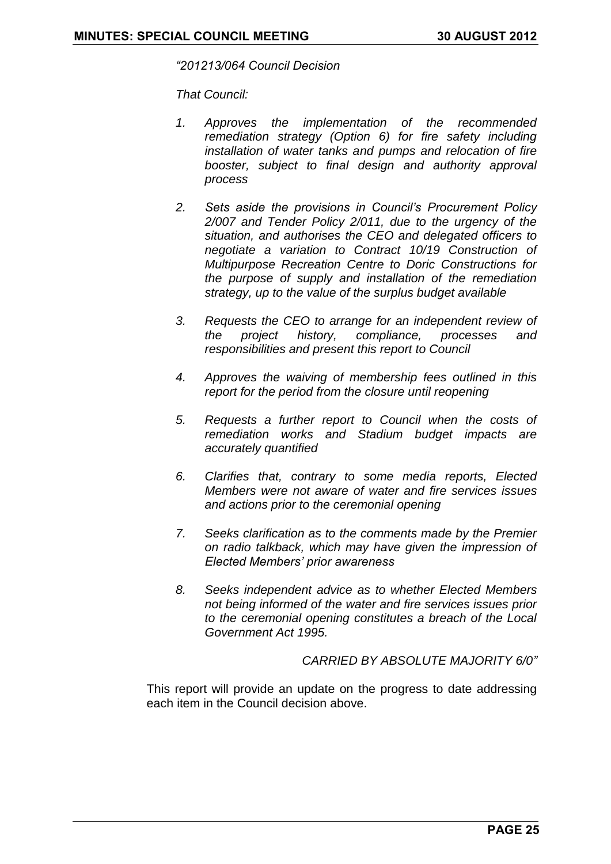*"201213/064 Council Decision* 

*That Council:* 

- *1. Approves the implementation of the recommended remediation strategy (Option 6) for fire safety including installation of water tanks and pumps and relocation of fire booster, subject to final design and authority approval process*
- *2. Sets aside the provisions in Council"s Procurement Policy 2/007 and Tender Policy 2/011, due to the urgency of the situation, and authorises the CEO and delegated officers to negotiate a variation to Contract 10/19 Construction of Multipurpose Recreation Centre to Doric Constructions for the purpose of supply and installation of the remediation strategy, up to the value of the surplus budget available*
- *3. Requests the CEO to arrange for an independent review of the project history, compliance, processes and responsibilities and present this report to Council*
- *4. Approves the waiving of membership fees outlined in this report for the period from the closure until reopening*
- *5. Requests a further report to Council when the costs of remediation works and Stadium budget impacts are accurately quantified*
- *6. Clarifies that, contrary to some media reports, Elected Members were not aware of water and fire services issues and actions prior to the ceremonial opening*
- *7. Seeks clarification as to the comments made by the Premier on radio talkback, which may have given the impression of Elected Members" prior awareness*
- *8. Seeks independent advice as to whether Elected Members not being informed of the water and fire services issues prior to the ceremonial opening constitutes a breach of the Local Government Act 1995.*

*CARRIED BY ABSOLUTE MAJORITY 6/0"*

This report will provide an update on the progress to date addressing each item in the Council decision above.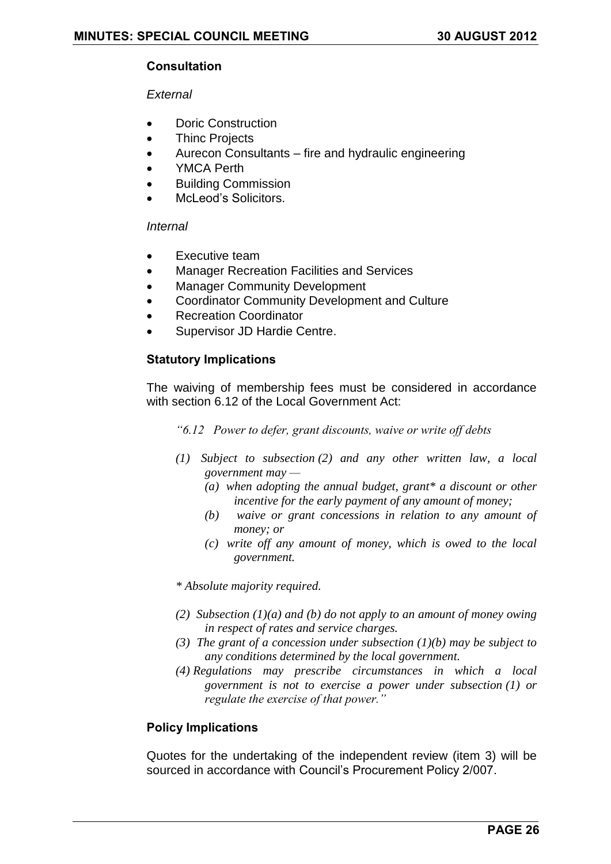### **Consultation**

### *External*

- Doric Construction
- Thinc Projects
- Aurecon Consultants fire and hydraulic engineering
- YMCA Perth
- Building Commission
- McLeod's Solicitors.

#### *Internal*

- Executive team
- Manager Recreation Facilities and Services
- Manager Community Development
- Coordinator Community Development and Culture
- Recreation Coordinator
- Supervisor JD Hardie Centre.

### **Statutory Implications**

The waiving of membership fees must be considered in accordance with section 6.12 of the Local Government Act:

*"6.12 Power to defer, grant discounts, waive or write off debts* 

- *(1) Subject to subsection (2) and any other written law, a local government may —*
	- *(a) when adopting the annual budget, grant\* a discount or other incentive for the early payment of any amount of money;*
	- *(b) waive or grant concessions in relation to any amount of money; or*
	- *(c) write off any amount of money, which is owed to the local government.*

*\* Absolute majority required.* 

- *(2) Subsection (1)(a) and (b) do not apply to an amount of money owing in respect of rates and service charges.*
- *(3) The grant of a concession under subsection (1)(b) may be subject to any conditions determined by the local government.*
- *(4) Regulations may prescribe circumstances in which a local government is not to exercise a power under subsection (1) or regulate the exercise of that power."*

### **Policy Implications**

Quotes for the undertaking of the independent review (item 3) will be sourced in accordance with Council's Procurement Policy 2/007.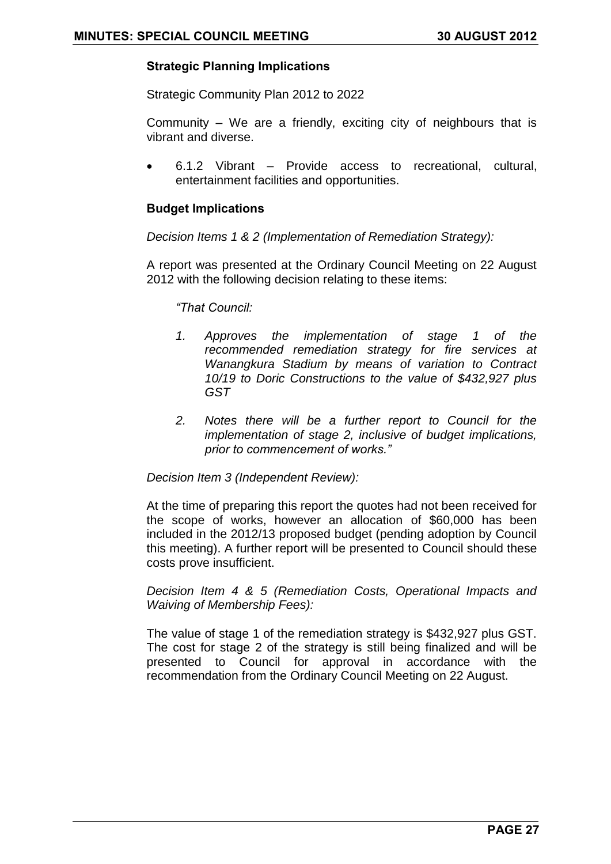### **Strategic Planning Implications**

Strategic Community Plan 2012 to 2022

Community – We are a friendly, exciting city of neighbours that is vibrant and diverse.

 6.1.2 Vibrant – Provide access to recreational, cultural, entertainment facilities and opportunities.

### **Budget Implications**

*Decision Items 1 & 2 (Implementation of Remediation Strategy):*

A report was presented at the Ordinary Council Meeting on 22 August 2012 with the following decision relating to these items:

*"That Council:*

- *1. Approves the implementation of stage 1 of the recommended remediation strategy for fire services at Wanangkura Stadium by means of variation to Contract 10/19 to Doric Constructions to the value of \$432,927 plus GST*
- *2. Notes there will be a further report to Council for the implementation of stage 2, inclusive of budget implications, prior to commencement of works."*

*Decision Item 3 (Independent Review):*

At the time of preparing this report the quotes had not been received for the scope of works, however an allocation of \$60,000 has been included in the 2012/13 proposed budget (pending adoption by Council this meeting). A further report will be presented to Council should these costs prove insufficient.

*Decision Item 4 & 5 (Remediation Costs, Operational Impacts and Waiving of Membership Fees):*

The value of stage 1 of the remediation strategy is \$432,927 plus GST. The cost for stage 2 of the strategy is still being finalized and will be presented to Council for approval in accordance with the recommendation from the Ordinary Council Meeting on 22 August.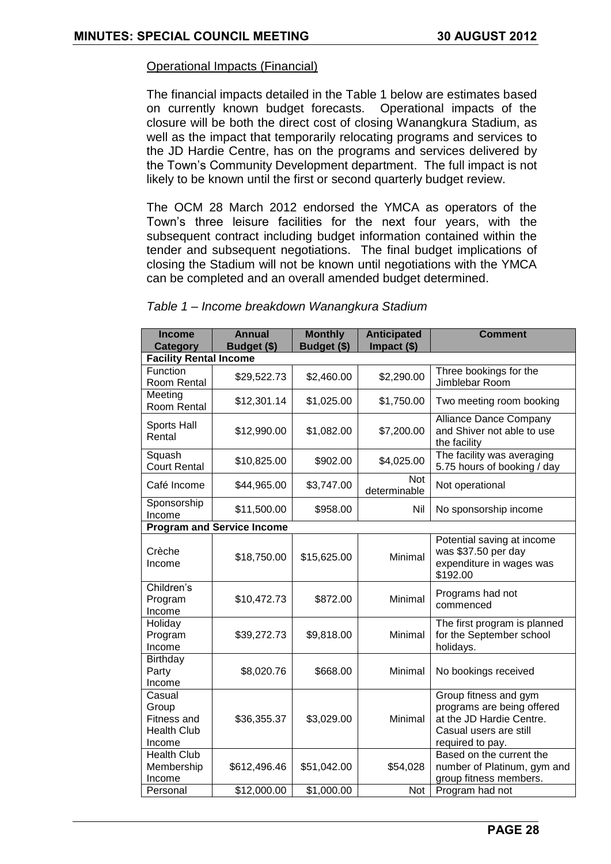### Operational Impacts (Financial)

The financial impacts detailed in the Table 1 below are estimates based on currently known budget forecasts. Operational impacts of the closure will be both the direct cost of closing Wanangkura Stadium, as well as the impact that temporarily relocating programs and services to the JD Hardie Centre, has on the programs and services delivered by the Town's Community Development department. The full impact is not likely to be known until the first or second quarterly budget review.

The OCM 28 March 2012 endorsed the YMCA as operators of the Town's three leisure facilities for the next four years, with the subsequent contract including budget information contained within the tender and subsequent negotiations. The final budget implications of closing the Stadium will not be known until negotiations with the YMCA can be completed and an overall amended budget determined.

| <b>Income</b><br><b>Category</b>                               | <b>Annual</b><br>Budget (\$)      | <b>Monthly</b><br>Budget (\$) | <b>Anticipated</b><br>Impact $(\$)$ | <b>Comment</b>                                                                                                                |  |  |
|----------------------------------------------------------------|-----------------------------------|-------------------------------|-------------------------------------|-------------------------------------------------------------------------------------------------------------------------------|--|--|
|                                                                | <b>Facility Rental Income</b>     |                               |                                     |                                                                                                                               |  |  |
| Function<br>Room Rental                                        | \$29,522.73                       | \$2,460.00                    | \$2,290.00                          | Three bookings for the<br>Jimblebar Room                                                                                      |  |  |
| Meeting<br>Room Rental                                         | \$12,301.14                       | \$1,025.00                    | \$1,750.00                          | Two meeting room booking                                                                                                      |  |  |
| Sports Hall<br>Rental                                          | \$12,990.00                       | \$1,082.00                    | \$7,200.00                          | Alliance Dance Company<br>and Shiver not able to use<br>the facility                                                          |  |  |
| Squash<br><b>Court Rental</b>                                  | \$10,825.00                       | \$902.00                      | \$4,025.00                          | The facility was averaging<br>5.75 hours of booking / day                                                                     |  |  |
| Café Income                                                    | \$44,965.00                       | \$3,747.00                    | Not<br>determinable                 | Not operational                                                                                                               |  |  |
| Sponsorship<br>Income                                          | \$11,500.00                       | \$958.00                      | Nil                                 | No sponsorship income                                                                                                         |  |  |
|                                                                | <b>Program and Service Income</b> |                               |                                     |                                                                                                                               |  |  |
| Crèche<br>Income                                               | \$18,750.00                       | \$15,625.00                   | Minimal                             | Potential saving at income<br>was \$37.50 per day<br>expenditure in wages was<br>\$192.00                                     |  |  |
| Children's<br>Program<br>Income                                | \$10,472.73                       | \$872.00                      | Minimal                             | Programs had not<br>commenced                                                                                                 |  |  |
| Holiday<br>Program<br>Income                                   | \$39,272.73                       | \$9,818.00                    | Minimal                             | The first program is planned<br>for the September school<br>holidays.                                                         |  |  |
| Birthday<br>Party<br>Income                                    | \$8,020.76                        | \$668.00                      | Minimal                             | No bookings received                                                                                                          |  |  |
| Casual<br>Group<br>Fitness and<br><b>Health Club</b><br>Income | \$36,355.37                       | \$3,029.00                    | Minimal                             | Group fitness and gym<br>programs are being offered<br>at the JD Hardie Centre.<br>Casual users are still<br>required to pay. |  |  |
| <b>Health Club</b><br>Membership<br>Income                     | \$612,496.46                      | \$51,042.00                   | \$54,028                            | Based on the current the<br>number of Platinum, gym and<br>group fitness members.                                             |  |  |
| Personal                                                       | \$12,000.00                       | \$1,000.00                    | Not                                 | Program had not                                                                                                               |  |  |

| Table 1 - Income breakdown Wanangkura Stadium |  |
|-----------------------------------------------|--|
|-----------------------------------------------|--|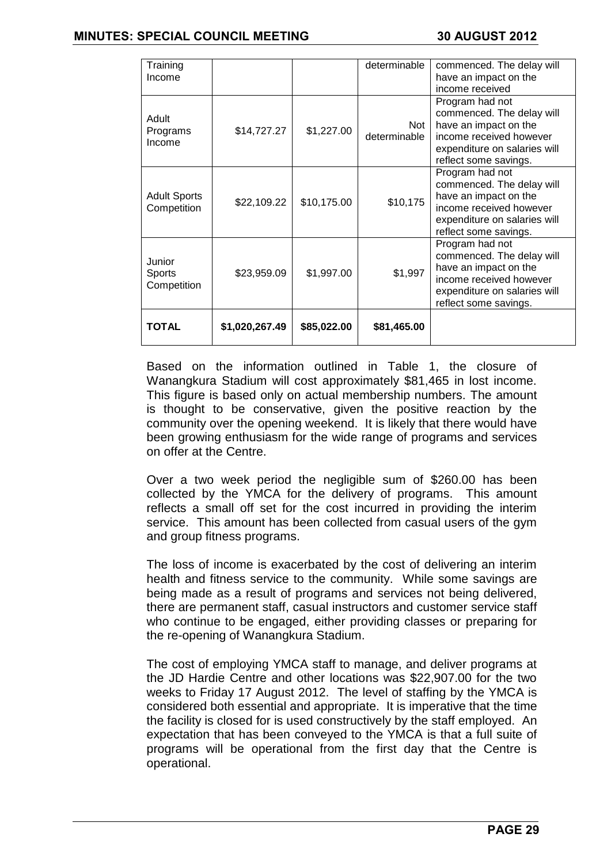### **MINUTES: SPECIAL COUNCIL MEETING 30 AUGUST 2012**

| Training<br>Income                 |                |             | determinable               | commenced. The delay will<br>have an impact on the<br>income received                                                                                     |
|------------------------------------|----------------|-------------|----------------------------|-----------------------------------------------------------------------------------------------------------------------------------------------------------|
| Adult<br>Programs<br>Income        | \$14,727.27    | \$1,227.00  | <b>Not</b><br>determinable | Program had not<br>commenced. The delay will<br>have an impact on the<br>income received however<br>expenditure on salaries will<br>reflect some savings. |
| <b>Adult Sports</b><br>Competition | \$22,109.22    | \$10,175.00 | \$10,175                   | Program had not<br>commenced. The delay will<br>have an impact on the<br>income received however<br>expenditure on salaries will<br>reflect some savings. |
| Junior<br>Sports<br>Competition    | \$23,959.09    | \$1,997.00  | \$1,997                    | Program had not<br>commenced. The delay will<br>have an impact on the<br>income received however<br>expenditure on salaries will<br>reflect some savings. |
| <b>TOTAL</b>                       | \$1,020,267.49 | \$85,022.00 | \$81,465.00                |                                                                                                                                                           |

Based on the information outlined in Table 1, the closure of Wanangkura Stadium will cost approximately \$81,465 in lost income. This figure is based only on actual membership numbers. The amount is thought to be conservative, given the positive reaction by the community over the opening weekend. It is likely that there would have been growing enthusiasm for the wide range of programs and services on offer at the Centre.

Over a two week period the negligible sum of \$260.00 has been collected by the YMCA for the delivery of programs. This amount reflects a small off set for the cost incurred in providing the interim service. This amount has been collected from casual users of the gym and group fitness programs.

The loss of income is exacerbated by the cost of delivering an interim health and fitness service to the community. While some savings are being made as a result of programs and services not being delivered, there are permanent staff, casual instructors and customer service staff who continue to be engaged, either providing classes or preparing for the re-opening of Wanangkura Stadium.

The cost of employing YMCA staff to manage, and deliver programs at the JD Hardie Centre and other locations was \$22,907.00 for the two weeks to Friday 17 August 2012. The level of staffing by the YMCA is considered both essential and appropriate. It is imperative that the time the facility is closed for is used constructively by the staff employed. An expectation that has been conveyed to the YMCA is that a full suite of programs will be operational from the first day that the Centre is operational.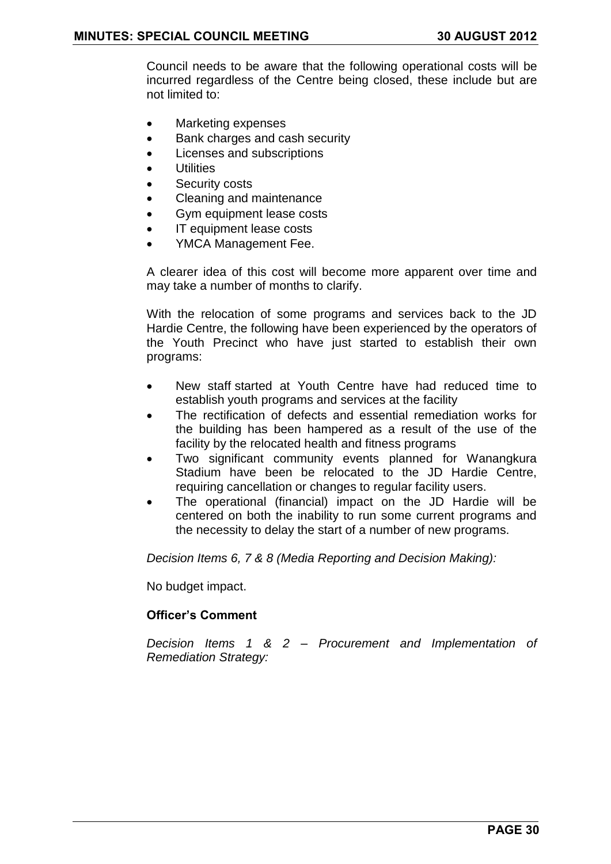Council needs to be aware that the following operational costs will be incurred regardless of the Centre being closed, these include but are not limited to:

- Marketing expenses
- Bank charges and cash security
- Licenses and subscriptions
- **•** Utilities
- Security costs
- Cleaning and maintenance
- Gym equipment lease costs
- IT equipment lease costs
- YMCA Management Fee.

A clearer idea of this cost will become more apparent over time and may take a number of months to clarify.

With the relocation of some programs and services back to the JD Hardie Centre, the following have been experienced by the operators of the Youth Precinct who have just started to establish their own programs:

- New staff started at Youth Centre have had reduced time to establish youth programs and services at the facility
- The rectification of defects and essential remediation works for the building has been hampered as a result of the use of the facility by the relocated health and fitness programs
- Two significant community events planned for Wanangkura Stadium have been be relocated to the JD Hardie Centre, requiring cancellation or changes to regular facility users.
- The operational (financial) impact on the JD Hardie will be centered on both the inability to run some current programs and the necessity to delay the start of a number of new programs.

*Decision Items 6, 7 & 8 (Media Reporting and Decision Making):*

No budget impact.

### **Officer"s Comment**

*Decision Items 1 & 2 – Procurement and Implementation of Remediation Strategy:*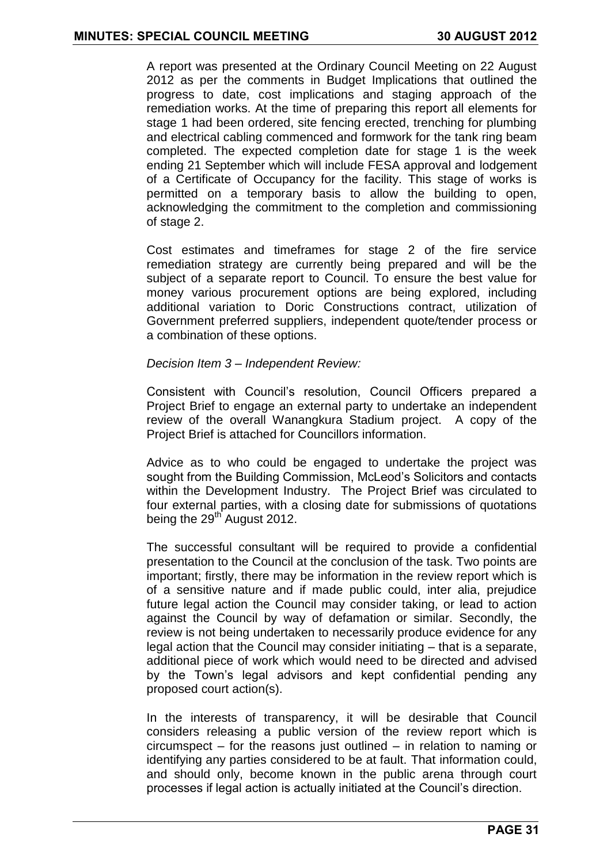A report was presented at the Ordinary Council Meeting on 22 August 2012 as per the comments in Budget Implications that outlined the progress to date, cost implications and staging approach of the remediation works. At the time of preparing this report all elements for stage 1 had been ordered, site fencing erected, trenching for plumbing and electrical cabling commenced and formwork for the tank ring beam completed. The expected completion date for stage 1 is the week ending 21 September which will include FESA approval and lodgement of a Certificate of Occupancy for the facility. This stage of works is permitted on a temporary basis to allow the building to open, acknowledging the commitment to the completion and commissioning of stage 2.

Cost estimates and timeframes for stage 2 of the fire service remediation strategy are currently being prepared and will be the subject of a separate report to Council. To ensure the best value for money various procurement options are being explored, including additional variation to Doric Constructions contract, utilization of Government preferred suppliers, independent quote/tender process or a combination of these options.

#### *Decision Item 3 – Independent Review:*

Consistent with Council's resolution, Council Officers prepared a Project Brief to engage an external party to undertake an independent review of the overall Wanangkura Stadium project. A copy of the Project Brief is attached for Councillors information.

Advice as to who could be engaged to undertake the project was sought from the Building Commission, McLeod's Solicitors and contacts within the Development Industry. The Project Brief was circulated to four external parties, with a closing date for submissions of quotations being the 29<sup>th</sup> August 2012.

The successful consultant will be required to provide a confidential presentation to the Council at the conclusion of the task. Two points are important; firstly, there may be information in the review report which is of a sensitive nature and if made public could, inter alia, prejudice future legal action the Council may consider taking, or lead to action against the Council by way of defamation or similar. Secondly, the review is not being undertaken to necessarily produce evidence for any legal action that the Council may consider initiating – that is a separate, additional piece of work which would need to be directed and advised by the Town's legal advisors and kept confidential pending any proposed court action(s).

In the interests of transparency, it will be desirable that Council considers releasing a public version of the review report which is circumspect – for the reasons just outlined – in relation to naming or identifying any parties considered to be at fault. That information could, and should only, become known in the public arena through court processes if legal action is actually initiated at the Council's direction.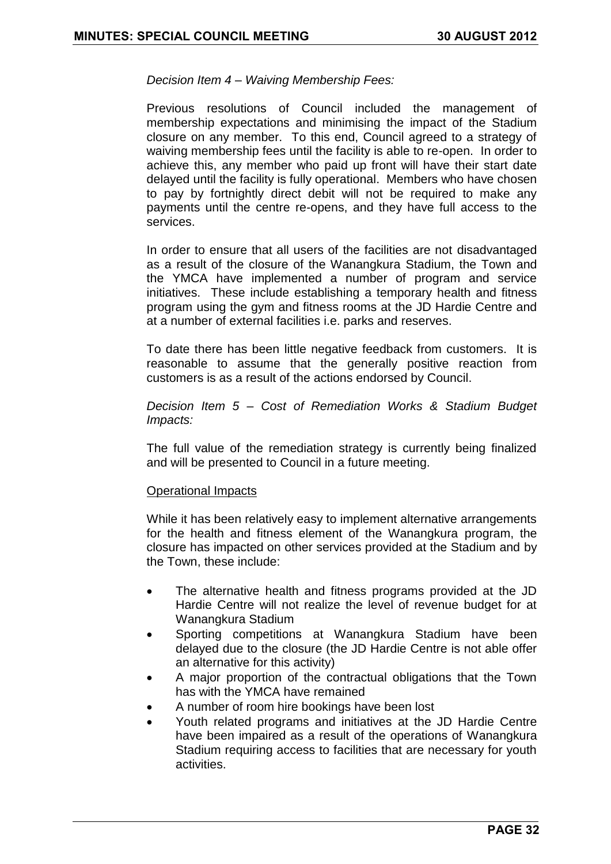*Decision Item 4 – Waiving Membership Fees:*

Previous resolutions of Council included the management of membership expectations and minimising the impact of the Stadium closure on any member. To this end, Council agreed to a strategy of waiving membership fees until the facility is able to re-open. In order to achieve this, any member who paid up front will have their start date delayed until the facility is fully operational. Members who have chosen to pay by fortnightly direct debit will not be required to make any payments until the centre re-opens, and they have full access to the services.

In order to ensure that all users of the facilities are not disadvantaged as a result of the closure of the Wanangkura Stadium, the Town and the YMCA have implemented a number of program and service initiatives. These include establishing a temporary health and fitness program using the gym and fitness rooms at the JD Hardie Centre and at a number of external facilities i.e. parks and reserves.

To date there has been little negative feedback from customers. It is reasonable to assume that the generally positive reaction from customers is as a result of the actions endorsed by Council.

*Decision Item 5 – Cost of Remediation Works & Stadium Budget Impacts:*

The full value of the remediation strategy is currently being finalized and will be presented to Council in a future meeting.

#### Operational Impacts

While it has been relatively easy to implement alternative arrangements for the health and fitness element of the Wanangkura program, the closure has impacted on other services provided at the Stadium and by the Town, these include:

- The alternative health and fitness programs provided at the JD Hardie Centre will not realize the level of revenue budget for at Wanangkura Stadium
- Sporting competitions at Wanangkura Stadium have been delayed due to the closure (the JD Hardie Centre is not able offer an alternative for this activity)
- A major proportion of the contractual obligations that the Town has with the YMCA have remained
- A number of room hire bookings have been lost
- Youth related programs and initiatives at the JD Hardie Centre have been impaired as a result of the operations of Wanangkura Stadium requiring access to facilities that are necessary for youth activities.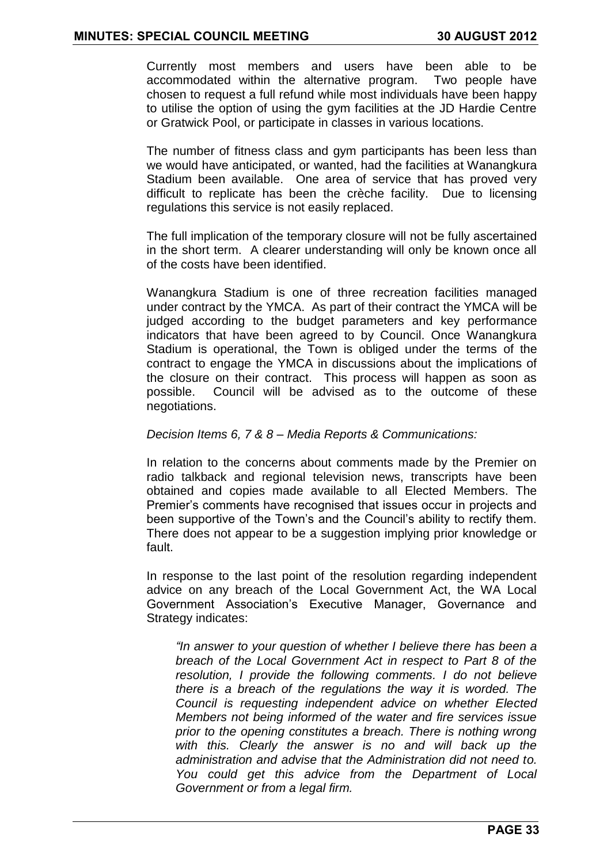Currently most members and users have been able to be accommodated within the alternative program. Two people have chosen to request a full refund while most individuals have been happy to utilise the option of using the gym facilities at the JD Hardie Centre or Gratwick Pool, or participate in classes in various locations.

The number of fitness class and gym participants has been less than we would have anticipated, or wanted, had the facilities at Wanangkura Stadium been available. One area of service that has proved very difficult to replicate has been the crèche facility. Due to licensing regulations this service is not easily replaced.

The full implication of the temporary closure will not be fully ascertained in the short term. A clearer understanding will only be known once all of the costs have been identified.

Wanangkura Stadium is one of three recreation facilities managed under contract by the YMCA. As part of their contract the YMCA will be judged according to the budget parameters and key performance indicators that have been agreed to by Council. Once Wanangkura Stadium is operational, the Town is obliged under the terms of the contract to engage the YMCA in discussions about the implications of the closure on their contract. This process will happen as soon as possible. Council will be advised as to the outcome of these negotiations.

#### *Decision Items 6, 7 & 8 – Media Reports & Communications:*

In relation to the concerns about comments made by the Premier on radio talkback and regional television news, transcripts have been obtained and copies made available to all Elected Members. The Premier's comments have recognised that issues occur in projects and been supportive of the Town's and the Council's ability to rectify them. There does not appear to be a suggestion implying prior knowledge or fault.

In response to the last point of the resolution regarding independent advice on any breach of the Local Government Act, the WA Local Government Association's Executive Manager, Governance and Strategy indicates:

*"In answer to your question of whether I believe there has been a breach of the Local Government Act in respect to Part 8 of the resolution, I provide the following comments. I do not believe there is a breach of the regulations the way it is worded. The Council is requesting independent advice on whether Elected Members not being informed of the water and fire services issue prior to the opening constitutes a breach. There is nothing wrong with this. Clearly the answer is no and will back up the administration and advise that the Administration did not need to. You could get this advice from the Department of Local Government or from a legal firm.*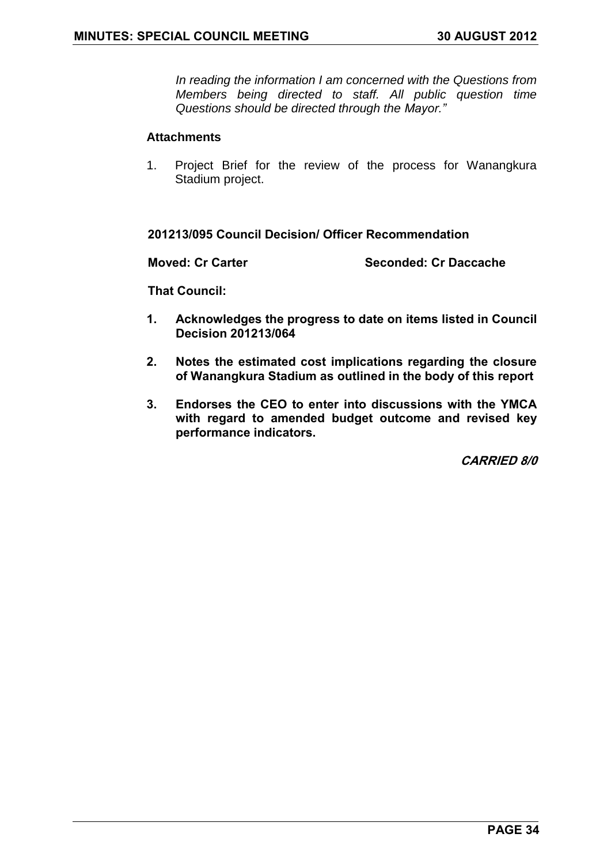*In reading the information I am concerned with the Questions from Members being directed to staff. All public question time Questions should be directed through the Mayor."* 

#### **Attachments**

1. Project Brief for the review of the process for Wanangkura Stadium project.

**201213/095 Council Decision/ Officer Recommendation**

**Moved: Cr Carter Seconded: Cr Daccache**

**That Council:**

- **1. Acknowledges the progress to date on items listed in Council Decision 201213/064**
- **2. Notes the estimated cost implications regarding the closure of Wanangkura Stadium as outlined in the body of this report**
- **3. Endorses the CEO to enter into discussions with the YMCA with regard to amended budget outcome and revised key performance indicators.**

**CARRIED 8/0**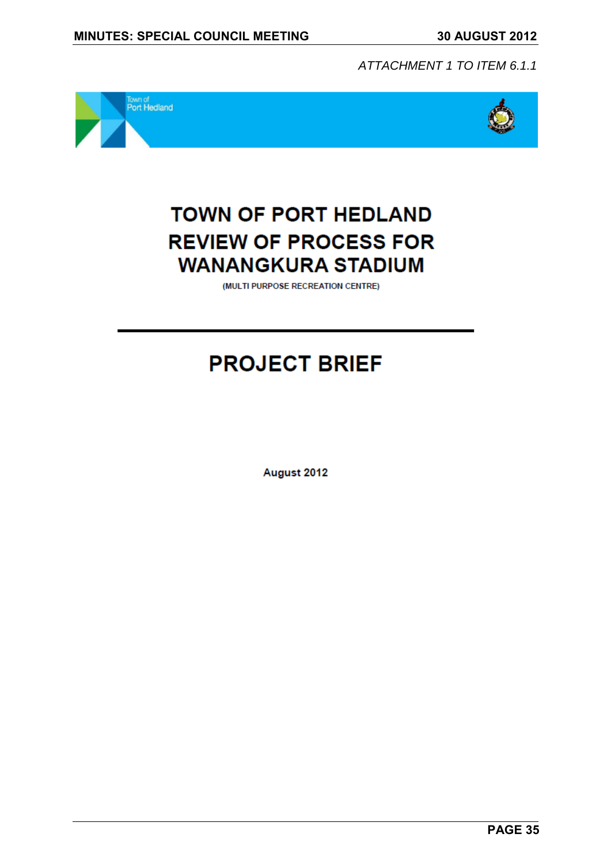*ATTACHMENT 1 TO ITEM 6.1.1*





# **TOWN OF PORT HEDLAND REVIEW OF PROCESS FOR WANANGKURA STADIUM**

(MULTI PURPOSE RECREATION CENTRE)

# **PROJECT BRIEF**

August 2012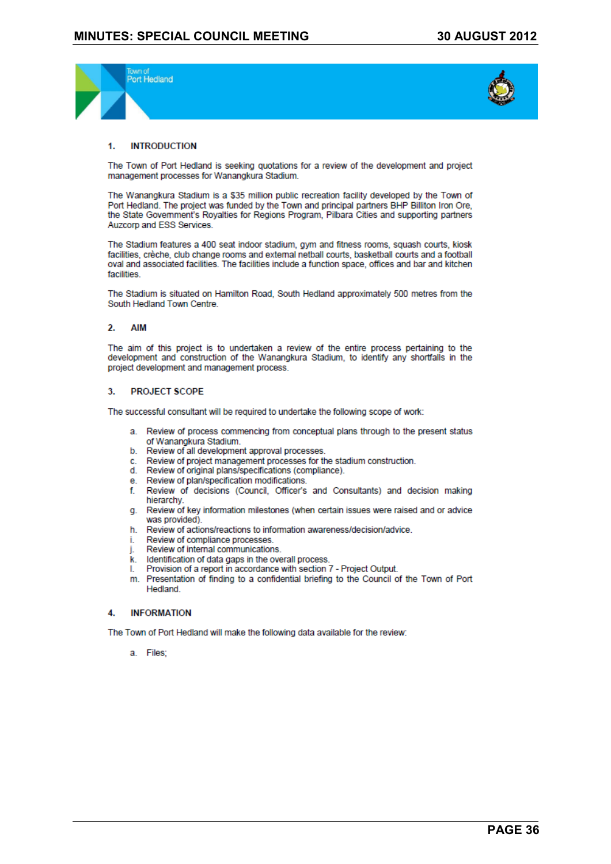



#### **INTRODUCTION**  $\blacktriangleleft$

The Town of Port Hedland is seeking quotations for a review of the development and project management processes for Wanangkura Stadium.

The Wanangkura Stadium is a \$35 million public recreation facility developed by the Town of Port Hedland. The project was funded by the Town and principal partners BHP Billiton Iron Ore. the State Government's Royalties for Regions Program, Pilbara Cities and supporting partners Auzcorp and ESS Services.

The Stadium features a 400 seat indoor stadium, gym and fitness rooms, squash courts, kiosk facilities, crèche, club change rooms and external netball courts, basketball courts and a football oval and associated facilities. The facilities include a function space, offices and bar and kitchen facilities

The Stadium is situated on Hamilton Road, South Hedland approximately 500 metres from the South Hedland Town Centre

#### $2.$ **AIM**

The aim of this project is to undertaken a review of the entire process pertaining to the development and construction of the Wanangkura Stadium, to identify any shortfalls in the project development and management process.

#### **PROJECT SCOPE** 3.

The successful consultant will be required to undertake the following scope of work:

- a. Review of process commencing from conceptual plans through to the present status of Wanangkura Stadium.
- b. Review of all development approval processes.
- Review of project management processes for the stadium construction. C.
- d. Review of original plans/specifications (compliance).
- e. Review of plan/specification modifications.
- Review of decisions (Council, Officer's and Consultants) and decision making f. hierarchy.
- Review of key information milestones (when certain issues were raised and or advice  $\mathbf{a}$ . was provided).
- h. Review of actions/reactions to information awareness/decision/advice.
- Review of compliance processes. Ť.
- Review of internal communications.
- Identification of data gaps in the overall process. k.
- Provision of a report in accordance with section 7 Project Output. L
- m. Presentation of finding to a confidential briefing to the Council of the Town of Port Hedland

#### **INFORMATION** 4.

The Town of Port Hedland will make the following data available for the review:

a. Files;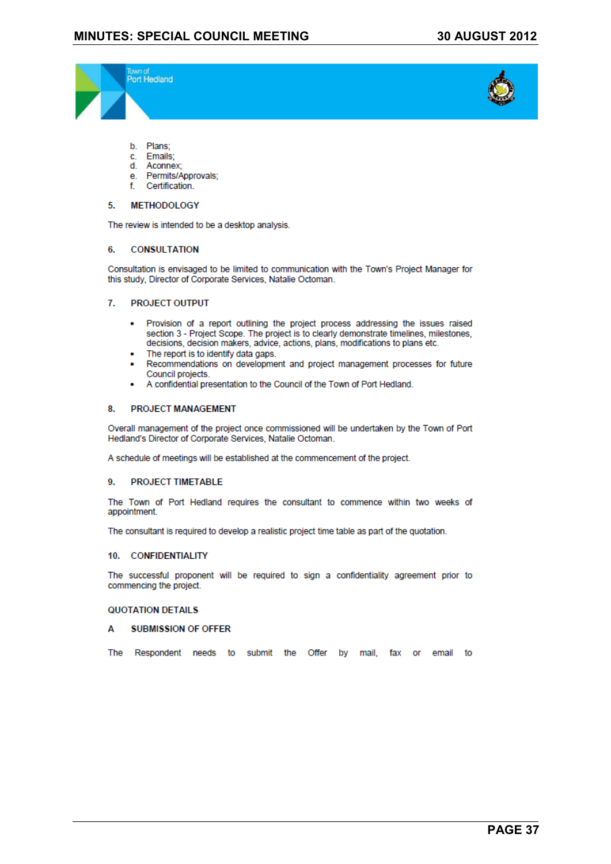



- b. Plans;
- Emails: c.
- Aconnex<sup>-</sup> d
- e. Permits/Approvals:
- Certification. f.

#### **METHODOLOGY** 5.

The review is intended to be a desktop analysis.

#### **CONSULTATION** 6.

Consultation is envisaged to be limited to communication with the Town's Project Manager for this study, Director of Corporate Services, Natalie Octoman.

#### $\overline{L}$ **PROJECT OUTPUT**

- Provision of a report outlining the project process addressing the issues raised  $\sim$ section 3 - Project Scope. The project is to clearly demonstrate timelines, milestones, decisions, decision makers, advice, actions, plans, modifications to plans etc.
- The report is to identify data gaps.
- Recommendations on development and project management processes for future Council projects.
- A confidential presentation to the Council of the Town of Port Hedland.

#### 8. **PROJECT MANAGEMENT**

Overall management of the project once commissioned will be undertaken by the Town of Port Hedland's Director of Corporate Services, Natalie Octoman.

A schedule of meetings will be established at the commencement of the project.

#### **PROJECT TIMETABLE** Q

The Town of Port Hedland requires the consultant to commence within two weeks of appointment.

The consultant is required to develop a realistic project time table as part of the quotation.

#### 10. CONFIDENTIALITY

The successful proponent will be required to sign a confidentiality agreement prior to commencing the project.

#### **QUOTATION DETAILS**

#### **SUBMISSION OF OFFER** Δ

The Respondent needs to submit the Offer by mail, fax or email to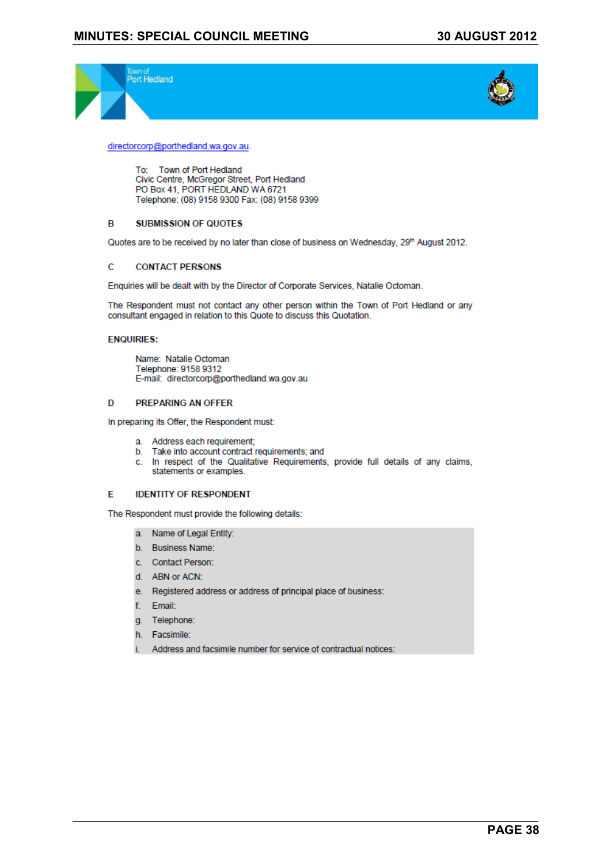



directorcorp@porthedland.wa.gov.au.

To: Town of Port Hedland Civic Centre, McGregor Street, Port Hedland PO Box 41, PORT HEDLAND WA 6721 Telephone: (08) 9158 9300 Fax: (08) 9158 9399

#### **B SUBMISSION OF QUOTES**

Quotes are to be received by no later than close of business on Wednesday, 29th August 2012.

#### **CONTACT PERSONS**  $\mathbf C$

Enquiries will be dealt with by the Director of Corporate Services, Natalie Octoman.

The Respondent must not contact any other person within the Town of Port Hedland or any consultant engaged in relation to this Quote to discuss this Quotation.

#### **ENQUIRIES:**

Name: Natalie Octoman Telephone: 9158 9312 E-mail: directorcorp@porthedland.wa.gov.au

#### **PREPARING AN OFFER** D

In preparing its Offer, the Respondent must:

- a. Address each requirement;
- b. Take into account contract requirements; and
- c. In respect of the Qualitative Requirements, provide full details of any claims, statements or examples.

#### **IDENTITY OF RESPONDENT** E

The Respondent must provide the following details:

- a. Name of Legal Entity:
- b. Business Name:
- c. Contact Person:
- d. ABN or ACN:
- e. Registered address or address of principal place of business:
- f. Email:
- g. Telephone:
- h. Facsimile:
- i. Address and facsimile number for service of contractual notices: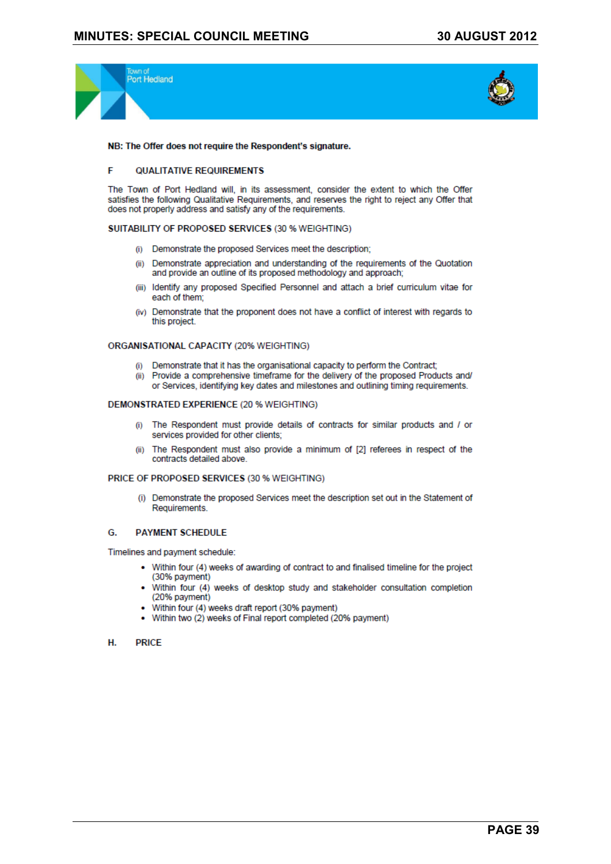



#### NB: The Offer does not require the Respondent's signature.

#### F **QUALITATIVE REQUIREMENTS**

The Town of Port Hedland will, in its assessment, consider the extent to which the Offer satisfies the following Qualitative Requirements, and reserves the right to reject any Offer that does not properly address and satisfy any of the requirements.

#### SUITABILITY OF PROPOSED SERVICES (30 % WEIGHTING)

- (i) Demonstrate the proposed Services meet the description:
- (ii) Demonstrate appreciation and understanding of the requirements of the Quotation and provide an outline of its proposed methodology and approach;
- (iii) Identify any proposed Specified Personnel and attach a brief curriculum vitae for each of them:
- (iv) Demonstrate that the proponent does not have a conflict of interest with regards to this project.

#### ORGANISATIONAL CAPACITY (20% WEIGHTING)

- (i) Demonstrate that it has the organisational capacity to perform the Contract;
- (ii) Provide a comprehensive timeframe for the delivery of the proposed Products and/ or Services, identifying key dates and milestones and outlining timing requirements.

#### **DEMONSTRATED EXPERIENCE (20 % WEIGHTING)**

- (i) The Respondent must provide details of contracts for similar products and / or services provided for other clients;
- (ii) The Respondent must also provide a minimum of [2] referees in respect of the contracts detailed above

#### PRICE OF PROPOSED SERVICES (30 % WEIGHTING)

(i) Demonstrate the proposed Services meet the description set out in the Statement of Requirements.

#### **PAYMENT SCHEDULE** G.

Timelines and payment schedule:

- Within four (4) weeks of awarding of contract to and finalised timeline for the project (30% payment)
- Within four (4) weeks of desktop study and stakeholder consultation completion (20% payment)
- Within four (4) weeks draft report (30% payment)
- Within two (2) weeks of Final report completed (20% payment)
- **PRICE** Н.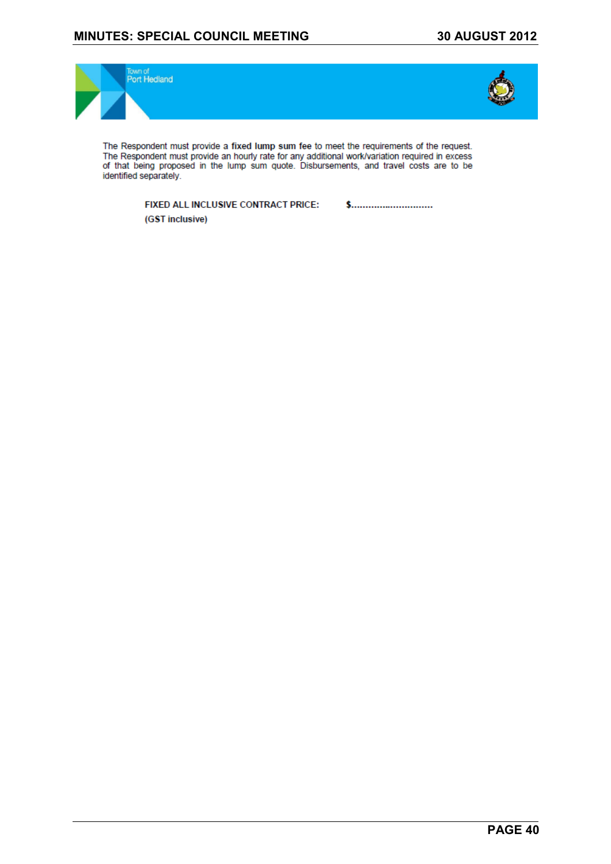#### **MINUTES: SPECIAL COUNCIL MEETING 30 AUGUST 2012**



The Respondent must provide a fixed lump sum fee to meet the requirements of the request. The Respondent must provide an hourly rate for any additional work/variation required in excess<br>of that being proposed in the lump sum quote. Disbursements, and travel costs are to be identified separately.

> FIXED ALL INCLUSIVE CONTRACT PRICE: (GST inclusive)

\$..............................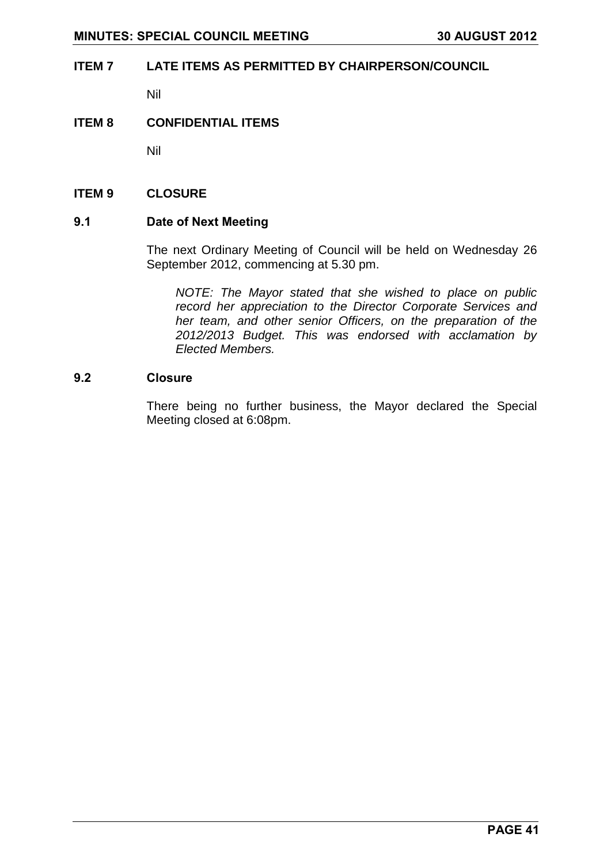### <span id="page-40-0"></span>**ITEM 7 LATE ITEMS AS PERMITTED BY CHAIRPERSON/COUNCIL**

Nil

#### <span id="page-40-1"></span>**ITEM 8 CONFIDENTIAL ITEMS**

Nil

#### <span id="page-40-2"></span>**ITEM 9 CLOSURE**

#### <span id="page-40-3"></span>**9.1 Date of Next Meeting**

The next Ordinary Meeting of Council will be held on Wednesday 26 September 2012, commencing at 5.30 pm.

*NOTE: The Mayor stated that she wished to place on public record her appreciation to the Director Corporate Services and her team, and other senior Officers, on the preparation of the 2012/2013 Budget. This was endorsed with acclamation by Elected Members.*

#### <span id="page-40-4"></span>**9.2 Closure**

There being no further business, the Mayor declared the Special Meeting closed at 6:08pm.